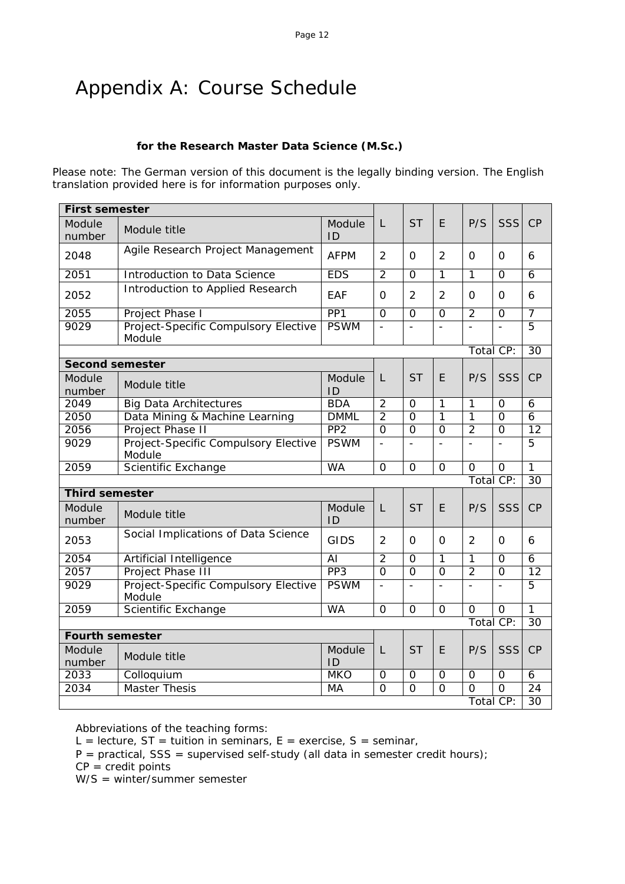# Appendix A: Course Schedule

#### **for the Research Master Data Science (M.Sc.)**

Please note: The German version of this document is the legally binding version. The English translation provided here is for information purposes only.

| <b>First semester</b>  |                                                |                 |                |                |                          |                          |                          |                 |
|------------------------|------------------------------------------------|-----------------|----------------|----------------|--------------------------|--------------------------|--------------------------|-----------------|
| Module<br>number       | Module title                                   | Module<br>ID    | L              | <b>ST</b>      | E                        | P/S                      | <b>SSS</b>               | CP              |
| 2048                   | Agile Research Project Management              | <b>AFPM</b>     | $\overline{2}$ | 0              | $\overline{2}$           | 0                        | $\Omega$                 | 6               |
| 2051                   | Introduction to Data Science                   | <b>EDS</b>      | $\overline{2}$ | $\Omega$       | $\overline{1}$           | $\overline{1}$           | $\Omega$                 | $\overline{6}$  |
| 2052                   | Introduction to Applied Research               | EAF             | $\Omega$       | $\overline{2}$ | $\overline{2}$           | $\Omega$                 | $\Omega$                 | 6               |
| 2055                   | Project Phase I                                | PP <sub>1</sub> | $\overline{0}$ | $\overline{0}$ | $\overline{0}$           | $\overline{2}$           | $\overline{0}$           | $\overline{7}$  |
| 9029                   | Project-Specific Compulsory Elective<br>Module | <b>PSWM</b>     | $\blacksquare$ | $\overline{a}$ | $\overline{\phantom{a}}$ | $\overline{\phantom{a}}$ | $\blacksquare$           | $\overline{5}$  |
|                        |                                                |                 |                |                |                          |                          | Total CP:                | 30              |
| <b>Second semester</b> |                                                |                 |                |                |                          |                          |                          |                 |
| Module<br>number       | Module title                                   | Module<br>ID    | L              | <b>ST</b>      | E                        | P/S                      | <b>SSS</b>               | CP              |
| 2049                   | <b>Big Data Architectures</b>                  | <b>BDA</b>      | $\overline{2}$ | $\Omega$       | 1                        | $\mathbf{1}$             | $\Omega$                 | 6               |
| 2050                   | Data Mining & Machine Learning                 | <b>DMML</b>     | $\overline{2}$ | $\overline{0}$ | $\overline{1}$           | $\overline{1}$           | $\overline{0}$           | $\overline{6}$  |
| 2056                   | Project Phase II                               | PP <sub>2</sub> | $\overline{0}$ | $\overline{0}$ | $\overline{0}$           | $\overline{2}$           | $\overline{0}$           | $\overline{12}$ |
| 9029                   | Project-Specific Compulsory Elective<br>Module | <b>PSWM</b>     | $\frac{1}{2}$  | $\overline{a}$ | $\bar{\phantom{a}}$      | $\overline{a}$           | $\overline{\phantom{a}}$ | 5               |
| 2059                   | Scientific Exchange                            | <b>WA</b>       | $\overline{O}$ | $\Omega$       | $\overline{0}$           | $\mathbf 0$              | $\mathbf 0$              | 1               |
|                        |                                                |                 |                |                |                          |                          | Total CP:                | $\overline{30}$ |
| <b>Third semester</b>  |                                                |                 |                |                |                          |                          |                          |                 |
| Module<br>number       | Module title                                   | Module<br>ID    | L              | <b>ST</b>      | E                        | P/S                      | SSS                      | CP              |
| 2053                   | Social Implications of Data Science            | <b>GIDS</b>     | 2              | $\Omega$       | $\Omega$                 | $\overline{2}$           | $\Omega$                 | 6               |
| 2054                   | Artificial Intelligence                        | $\overline{AI}$ | $\overline{2}$ | $\Omega$       | 1                        | $\mathbf{1}$             | $\Omega$                 | $\overline{6}$  |
| 2057                   | Project Phase III                              | PP <sub>3</sub> | $\overline{0}$ | $\overline{0}$ | $\overline{0}$           | $\overline{2}$           | $\overline{0}$           | $\overline{12}$ |
| 9029                   | Project-Specific Compulsory Elective<br>Module | <b>PSWM</b>     | $\overline{a}$ | $\overline{a}$ | $\overline{a}$           | $\overline{a}$           | $\overline{a}$           | $\overline{5}$  |
| 2059                   | Scientific Exchange                            | <b>WA</b>       | $\overline{0}$ | $\overline{0}$ | $\overline{0}$           | $\overline{0}$           | $\overline{0}$           | $\overline{1}$  |
|                        |                                                |                 |                |                |                          |                          | Total CP:                | 30              |
| <b>Fourth semester</b> |                                                |                 |                |                |                          |                          |                          |                 |
| Module<br>number       | Module title                                   | Module<br>ID    | L              | <b>ST</b>      | E                        | P/S                      | SSS                      | CP              |
| 2033                   | Colloquium                                     | <b>MKO</b>      | $\overline{O}$ | $\mathbf 0$    | $\overline{O}$           | $\mathbf 0$              | $\overline{O}$           | 6               |
| 2034                   | <b>Master Thesis</b>                           | <b>MA</b>       | $\overline{0}$ | $\overline{0}$ | $\overline{0}$           | $\overline{0}$           | $\overline{0}$           | $\overline{24}$ |
|                        |                                                |                 |                |                |                          |                          | Total CP:                | 30              |

Abbreviations of the teaching forms:

L = lecture,  $ST =$  tuition in seminars,  $E =$  exercise,  $S =$  seminar,

 $P =$  practical, SSS = supervised self-study (all data in semester credit hours);

 $CP = \text{credit points}$ 

W/S = winter/summer semester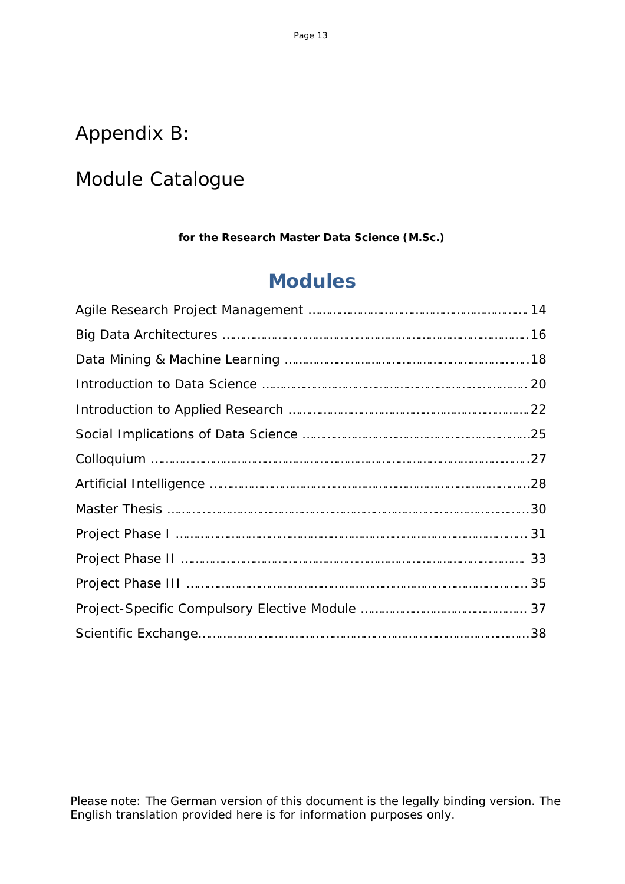## Appendix B:

# Module Catalogue

**for the Research Master Data Science (M.Sc.)**

# **Modules**

Please note: The German version of this document is the legally binding version. The English translation provided here is for information purposes only.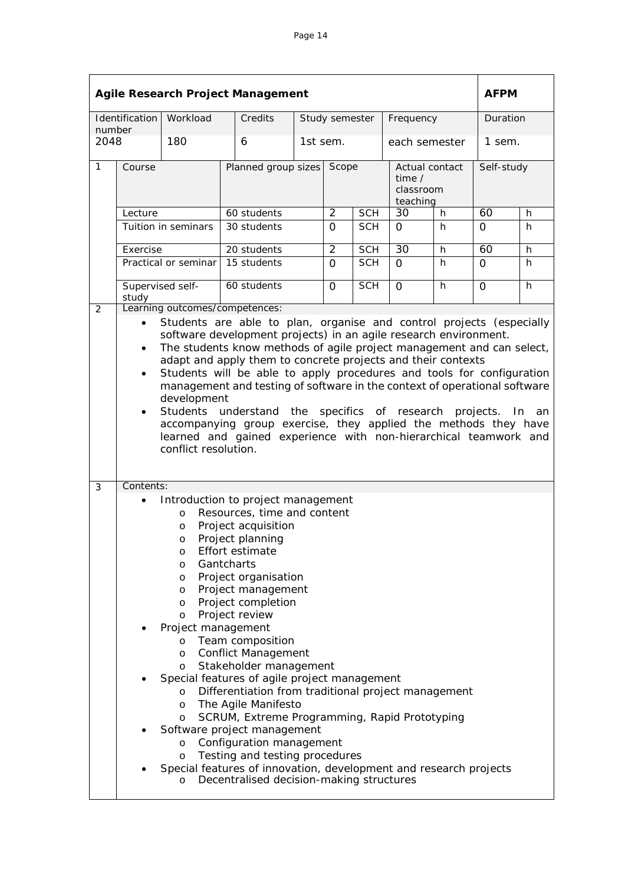|              | <b>Agile Research Project Management</b>                                                                                                                                                                                                                                                                                                                                                                                                                                                                                                                                                                                                      |                                                                                                                                       |                                                                                                                                                                                                                                                                                                                                                                                                                                                                                                                                                                                                                                                                  |                     |                |            |                                                   |    |            | <b>AFPM</b> |  |
|--------------|-----------------------------------------------------------------------------------------------------------------------------------------------------------------------------------------------------------------------------------------------------------------------------------------------------------------------------------------------------------------------------------------------------------------------------------------------------------------------------------------------------------------------------------------------------------------------------------------------------------------------------------------------|---------------------------------------------------------------------------------------------------------------------------------------|------------------------------------------------------------------------------------------------------------------------------------------------------------------------------------------------------------------------------------------------------------------------------------------------------------------------------------------------------------------------------------------------------------------------------------------------------------------------------------------------------------------------------------------------------------------------------------------------------------------------------------------------------------------|---------------------|----------------|------------|---------------------------------------------------|----|------------|-------------|--|
| number       | Identification                                                                                                                                                                                                                                                                                                                                                                                                                                                                                                                                                                                                                                | Workload                                                                                                                              | Credits                                                                                                                                                                                                                                                                                                                                                                                                                                                                                                                                                                                                                                                          |                     | Study semester |            | Frequency                                         |    | Duration   |             |  |
| 2048         |                                                                                                                                                                                                                                                                                                                                                                                                                                                                                                                                                                                                                                               | 180                                                                                                                                   | 6                                                                                                                                                                                                                                                                                                                                                                                                                                                                                                                                                                                                                                                                | 1st sem.            |                |            | each semester                                     |    | 1 sem.     |             |  |
| $\mathbf{1}$ | Course                                                                                                                                                                                                                                                                                                                                                                                                                                                                                                                                                                                                                                        |                                                                                                                                       |                                                                                                                                                                                                                                                                                                                                                                                                                                                                                                                                                                                                                                                                  | Planned group sizes |                | Scope      | Actual contact<br>time /<br>classroom<br>teaching |    | Self-study |             |  |
|              | Lecture                                                                                                                                                                                                                                                                                                                                                                                                                                                                                                                                                                                                                                       |                                                                                                                                       | 60 students                                                                                                                                                                                                                                                                                                                                                                                                                                                                                                                                                                                                                                                      |                     | $\overline{2}$ | <b>SCH</b> | 30                                                | h. | 60         | h           |  |
|              |                                                                                                                                                                                                                                                                                                                                                                                                                                                                                                                                                                                                                                               | Tuition in seminars                                                                                                                   | 30 students                                                                                                                                                                                                                                                                                                                                                                                                                                                                                                                                                                                                                                                      |                     | 0              | <b>SCH</b> | $\mathbf{O}$                                      | h  | $\Omega$   | h           |  |
|              | Exercise                                                                                                                                                                                                                                                                                                                                                                                                                                                                                                                                                                                                                                      |                                                                                                                                       | 20 students                                                                                                                                                                                                                                                                                                                                                                                                                                                                                                                                                                                                                                                      |                     | $\overline{2}$ | <b>SCH</b> | $\overline{30}$                                   | h  | 60         | h           |  |
|              |                                                                                                                                                                                                                                                                                                                                                                                                                                                                                                                                                                                                                                               | Practical or seminar                                                                                                                  | 15 students                                                                                                                                                                                                                                                                                                                                                                                                                                                                                                                                                                                                                                                      |                     | $\Omega$       | <b>SCH</b> | $\Omega$                                          | h  | 0          | h           |  |
| 2            | Supervised self-<br>study                                                                                                                                                                                                                                                                                                                                                                                                                                                                                                                                                                                                                     |                                                                                                                                       | 60 students<br>Learning outcomes/competences:                                                                                                                                                                                                                                                                                                                                                                                                                                                                                                                                                                                                                    |                     | 0              | <b>SCH</b> | $\Omega$                                          | h. | $\Omega$   | h           |  |
|              | software development projects) in an agile research environment.<br>The students know methods of agile project management and can select,<br>$\bullet$<br>adapt and apply them to concrete projects and their contexts<br>Students will be able to apply procedures and tools for configuration<br>٠<br>management and testing of software in the context of operational software<br>development<br>Students understand the specifics of research projects.<br>In<br>$\bullet$<br>accompanying group exercise, they applied the methods they have<br>learned and gained experience with non-hierarchical teamwork and<br>conflict resolution. |                                                                                                                                       |                                                                                                                                                                                                                                                                                                                                                                                                                                                                                                                                                                                                                                                                  |                     |                | an         |                                                   |    |            |             |  |
| 3            | Contents:<br>$\bullet$                                                                                                                                                                                                                                                                                                                                                                                                                                                                                                                                                                                                                        | $\circ$<br>O<br>O<br>O<br>O<br>O<br>O<br>O<br>O<br>Project management<br>$\circ$<br>O<br>O<br>$\circ$<br>O<br>O<br>$\circ$<br>$\circ$ | Introduction to project management<br>Resources, time and content<br>Project acquisition<br>Project planning<br>Effort estimate<br>Gantcharts<br>Project organisation<br>Project management<br>Project completion<br>Project review<br>Team composition<br><b>Conflict Management</b><br>Stakeholder management<br>Special features of agile project management<br>Differentiation from traditional project management<br>The Agile Manifesto<br>SCRUM, Extreme Programming, Rapid Prototyping<br>Software project management<br>Configuration management<br>Testing and testing procedures<br>Special features of innovation, development and research projects |                     |                |            |                                                   |    |            |             |  |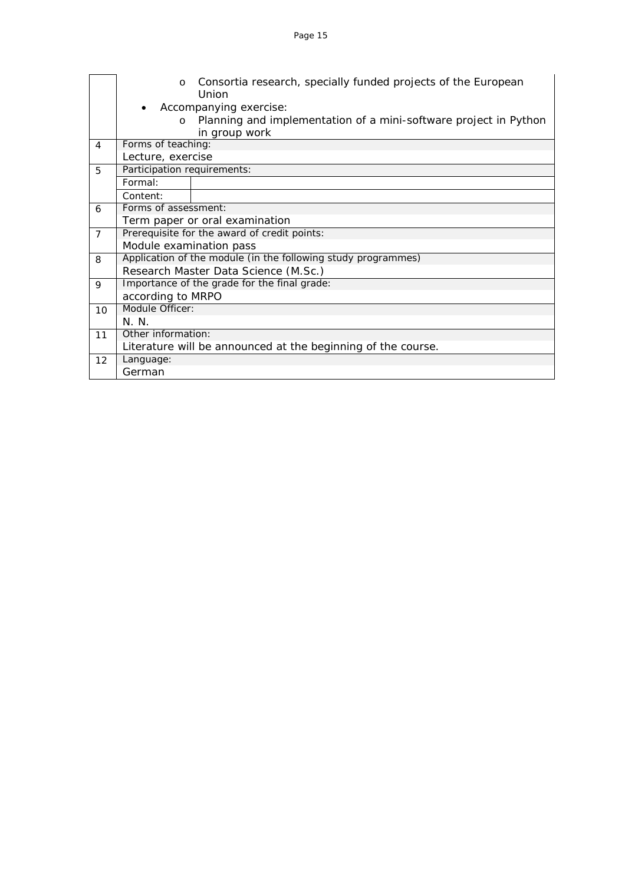|                | $\circ$                     | Consortia research, specially funded projects of the European<br>Union |
|----------------|-----------------------------|------------------------------------------------------------------------|
|                | $\bullet$                   | Accompanying exercise:                                                 |
|                | $\Omega$                    | Planning and implementation of a mini-software project in Python       |
|                |                             | in group work                                                          |
| $\overline{4}$ | Forms of teaching:          |                                                                        |
|                | Lecture, exercise           |                                                                        |
| 5              | Participation requirements: |                                                                        |
|                | Formal:                     |                                                                        |
|                | Content:                    |                                                                        |
| 6              | Forms of assessment:        |                                                                        |
|                |                             | Term paper or oral examination                                         |
| $\overline{7}$ |                             | Prerequisite for the award of credit points:                           |
|                | Module examination pass     |                                                                        |
| 8              |                             | Application of the module (in the following study programmes)          |
|                |                             | Research Master Data Science (M.Sc.)                                   |
| 9              |                             | Importance of the grade for the final grade:                           |
|                | according to MRPO           |                                                                        |
| 10             | Module Officer:             |                                                                        |
|                | N. N.                       |                                                                        |
| 11             | Other information:          |                                                                        |
|                |                             | Literature will be announced at the beginning of the course.           |
| 12             | Language:                   |                                                                        |
|                | German                      |                                                                        |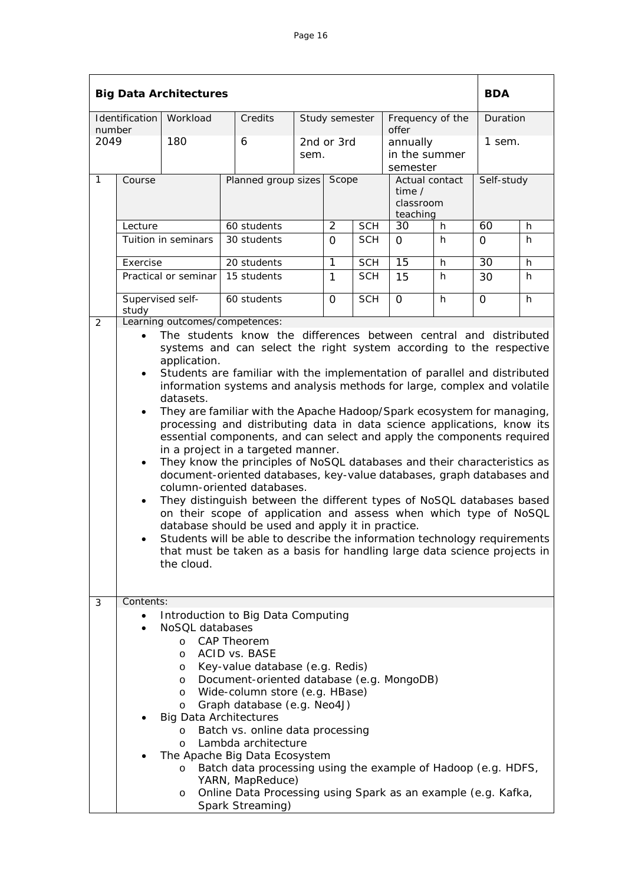|                |                                                                                                                                                                                                                                                                                                                                                                                                                                                                                                                                                                                                                                                                                                                                                                                                                                                                                                                                                                                                                                                                                                                                                                                                                                         | <b>Big Data Architectures</b>                                                                                               |                                                                                                                                                                                                                                                                                                                                                                                                             |                              |                |                                       |                                                     |    | <b>BDA</b>      |   |
|----------------|-----------------------------------------------------------------------------------------------------------------------------------------------------------------------------------------------------------------------------------------------------------------------------------------------------------------------------------------------------------------------------------------------------------------------------------------------------------------------------------------------------------------------------------------------------------------------------------------------------------------------------------------------------------------------------------------------------------------------------------------------------------------------------------------------------------------------------------------------------------------------------------------------------------------------------------------------------------------------------------------------------------------------------------------------------------------------------------------------------------------------------------------------------------------------------------------------------------------------------------------|-----------------------------------------------------------------------------------------------------------------------------|-------------------------------------------------------------------------------------------------------------------------------------------------------------------------------------------------------------------------------------------------------------------------------------------------------------------------------------------------------------------------------------------------------------|------------------------------|----------------|---------------------------------------|-----------------------------------------------------|----|-----------------|---|
|                | Identification                                                                                                                                                                                                                                                                                                                                                                                                                                                                                                                                                                                                                                                                                                                                                                                                                                                                                                                                                                                                                                                                                                                                                                                                                          | Workload                                                                                                                    | Credits                                                                                                                                                                                                                                                                                                                                                                                                     | Study semester               |                |                                       | Frequency of the<br>offer                           |    | Duration        |   |
| number<br>2049 |                                                                                                                                                                                                                                                                                                                                                                                                                                                                                                                                                                                                                                                                                                                                                                                                                                                                                                                                                                                                                                                                                                                                                                                                                                         | 180                                                                                                                         | 6                                                                                                                                                                                                                                                                                                                                                                                                           | 2nd or 3rd<br>sem.           |                | annually<br>in the summer<br>semester |                                                     |    | 1 sem.          |   |
| $\mathbf{1}$   | Course                                                                                                                                                                                                                                                                                                                                                                                                                                                                                                                                                                                                                                                                                                                                                                                                                                                                                                                                                                                                                                                                                                                                                                                                                                  |                                                                                                                             |                                                                                                                                                                                                                                                                                                                                                                                                             | Planned group sizes<br>Scope |                |                                       | Actual contact<br>time $/$<br>classroom<br>teaching |    | Self-study      |   |
|                | Lecture                                                                                                                                                                                                                                                                                                                                                                                                                                                                                                                                                                                                                                                                                                                                                                                                                                                                                                                                                                                                                                                                                                                                                                                                                                 |                                                                                                                             | 60 students                                                                                                                                                                                                                                                                                                                                                                                                 |                              | 2              | <b>SCH</b>                            | 30<br>h                                             |    | 60              | h |
|                |                                                                                                                                                                                                                                                                                                                                                                                                                                                                                                                                                                                                                                                                                                                                                                                                                                                                                                                                                                                                                                                                                                                                                                                                                                         | Tuition in seminars                                                                                                         | 30 students                                                                                                                                                                                                                                                                                                                                                                                                 |                              | $\Omega$       | <b>SCH</b>                            | $\Omega$                                            | h  | $\mathbf{O}$    | h |
|                | Exercise                                                                                                                                                                                                                                                                                                                                                                                                                                                                                                                                                                                                                                                                                                                                                                                                                                                                                                                                                                                                                                                                                                                                                                                                                                |                                                                                                                             | 20 students                                                                                                                                                                                                                                                                                                                                                                                                 |                              | $\overline{1}$ | <b>SCH</b>                            | $\overline{15}$                                     | h  | $\overline{30}$ | h |
|                |                                                                                                                                                                                                                                                                                                                                                                                                                                                                                                                                                                                                                                                                                                                                                                                                                                                                                                                                                                                                                                                                                                                                                                                                                                         | Practical or seminar                                                                                                        | 15 students                                                                                                                                                                                                                                                                                                                                                                                                 |                              | 1              | <b>SCH</b>                            | 15                                                  | h. | 30              | h |
|                | study                                                                                                                                                                                                                                                                                                                                                                                                                                                                                                                                                                                                                                                                                                                                                                                                                                                                                                                                                                                                                                                                                                                                                                                                                                   | Supervised self-                                                                                                            | 60 students                                                                                                                                                                                                                                                                                                                                                                                                 |                              | $\mathbf{O}$   | $\overline{SCH}$                      | $\mathbf 0$                                         | h  | $\mathbf{O}$    | h |
| 2              |                                                                                                                                                                                                                                                                                                                                                                                                                                                                                                                                                                                                                                                                                                                                                                                                                                                                                                                                                                                                                                                                                                                                                                                                                                         |                                                                                                                             |                                                                                                                                                                                                                                                                                                                                                                                                             |                              |                |                                       |                                                     |    |                 |   |
|                | Learning outcomes/competences:<br>The students know the differences between central and distributed<br>systems and can select the right system according to the respective<br>application.<br>Students are familiar with the implementation of parallel and distributed<br>$\bullet$<br>information systems and analysis methods for large, complex and volatile<br>datasets.<br>They are familiar with the Apache Hadoop/Spark ecosystem for managing,<br>٠<br>processing and distributing data in data science applications, know its<br>essential components, and can select and apply the components required<br>in a project in a targeted manner.<br>They know the principles of NoSQL databases and their characteristics as<br>$\bullet$<br>document-oriented databases, key-value databases, graph databases and<br>column-oriented databases.<br>They distinguish between the different types of NoSQL databases based<br>٠<br>on their scope of application and assess when which type of NoSQL<br>database should be used and apply it in practice.<br>Students will be able to describe the information technology requirements<br>that must be taken as a basis for handling large data science projects in<br>the cloud. |                                                                                                                             |                                                                                                                                                                                                                                                                                                                                                                                                             |                              |                |                                       |                                                     |    |                 |   |
| 3              | Contents:                                                                                                                                                                                                                                                                                                                                                                                                                                                                                                                                                                                                                                                                                                                                                                                                                                                                                                                                                                                                                                                                                                                                                                                                                               |                                                                                                                             |                                                                                                                                                                                                                                                                                                                                                                                                             |                              |                |                                       |                                                     |    |                 |   |
|                |                                                                                                                                                                                                                                                                                                                                                                                                                                                                                                                                                                                                                                                                                                                                                                                                                                                                                                                                                                                                                                                                                                                                                                                                                                         | NoSQL databases<br>$\circ$<br>$\circ$<br>O<br>O<br>$\circ$<br>O<br><b>Big Data Architectures</b><br>$\circ$<br>$\circ$<br>O | Introduction to Big Data Computing<br><b>CAP Theorem</b><br>ACID vs. BASE<br>Key-value database (e.g. Redis)<br>Document-oriented database (e.g. MongoDB)<br>Wide-column store (e.g. HBase)<br>Graph database (e.g. Neo4J)<br>Batch vs. online data processing<br>Lambda architecture<br>The Apache Big Data Ecosystem<br>Batch data processing using the example of Hadoop (e.g. HDFS,<br>YARN, MapReduce) |                              |                |                                       |                                                     |    |                 |   |
|                | Online Data Processing using Spark as an example (e.g. Kafka,<br>O<br>Spark Streaming)                                                                                                                                                                                                                                                                                                                                                                                                                                                                                                                                                                                                                                                                                                                                                                                                                                                                                                                                                                                                                                                                                                                                                  |                                                                                                                             |                                                                                                                                                                                                                                                                                                                                                                                                             |                              |                |                                       |                                                     |    |                 |   |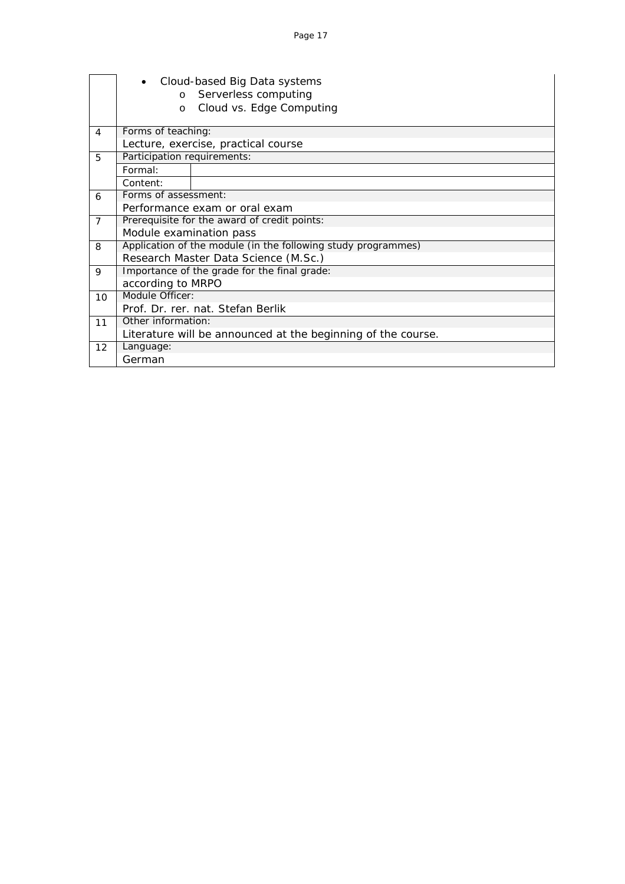|                | $\Omega$<br>$\Omega$        | Cloud-based Big Data systems<br>Serverless computing<br>Cloud vs. Edge Computing |
|----------------|-----------------------------|----------------------------------------------------------------------------------|
| 4              | Forms of teaching:          |                                                                                  |
|                |                             | Lecture, exercise, practical course                                              |
| 5              | Participation requirements: |                                                                                  |
|                | Formal:                     |                                                                                  |
|                | Content:                    |                                                                                  |
| 6              | Forms of assessment:        |                                                                                  |
|                |                             | Performance exam or oral exam                                                    |
| $\overline{7}$ |                             | Prerequisite for the award of credit points:                                     |
|                | Module examination pass     |                                                                                  |
| 8              |                             | Application of the module (in the following study programmes)                    |
|                |                             | Research Master Data Science (M.Sc.)                                             |
| 9              |                             | Importance of the grade for the final grade:                                     |
|                | according to MRPO           |                                                                                  |
| 10             | Module Officer:             |                                                                                  |
|                |                             | Prof. Dr. rer. nat. Stefan Berlik                                                |
| 11             | Other information:          |                                                                                  |
|                |                             | Literature will be announced at the beginning of the course.                     |
| 12             | Language:                   |                                                                                  |
|                | German                      |                                                                                  |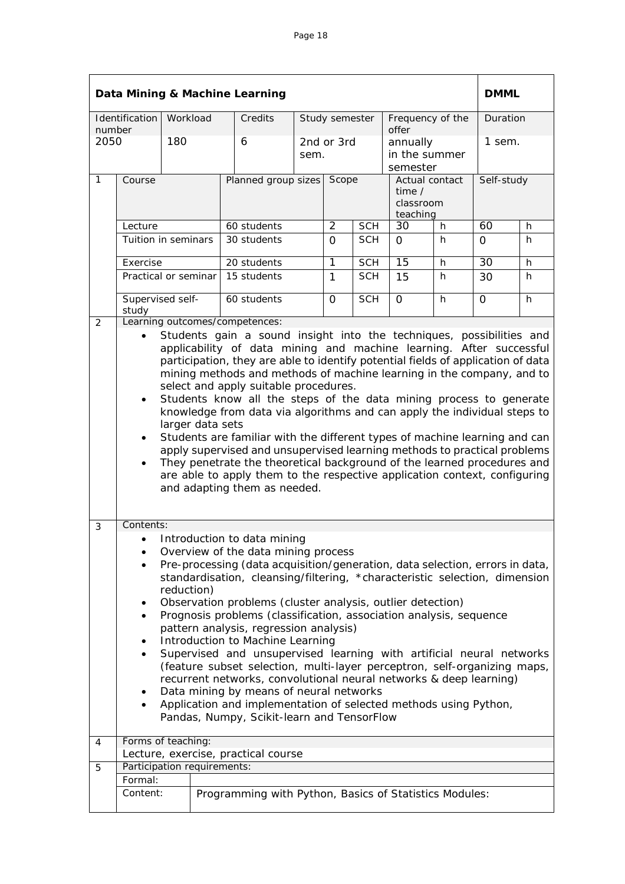|        |                                                                                                                                                                                                                                                                                                                                                                                                                                                                                                                                                                                                                                                                                                                                                                                                                                                                                                                  |            |  | Data Mining & Machine Learning                                                                                                                                                                                                                                                                                                                                                                                                                                                                                                                                                                                                                                                                                                                                                                                                            |       |                |                                                          |                                       |            |          | <b>DMML</b> |  |
|--------|------------------------------------------------------------------------------------------------------------------------------------------------------------------------------------------------------------------------------------------------------------------------------------------------------------------------------------------------------------------------------------------------------------------------------------------------------------------------------------------------------------------------------------------------------------------------------------------------------------------------------------------------------------------------------------------------------------------------------------------------------------------------------------------------------------------------------------------------------------------------------------------------------------------|------------|--|-------------------------------------------------------------------------------------------------------------------------------------------------------------------------------------------------------------------------------------------------------------------------------------------------------------------------------------------------------------------------------------------------------------------------------------------------------------------------------------------------------------------------------------------------------------------------------------------------------------------------------------------------------------------------------------------------------------------------------------------------------------------------------------------------------------------------------------------|-------|----------------|----------------------------------------------------------|---------------------------------------|------------|----------|-------------|--|
| number | Identification                                                                                                                                                                                                                                                                                                                                                                                                                                                                                                                                                                                                                                                                                                                                                                                                                                                                                                   | Workload   |  | Credits                                                                                                                                                                                                                                                                                                                                                                                                                                                                                                                                                                                                                                                                                                                                                                                                                                   |       | Study semester |                                                          | Frequency of the<br>offer             |            | Duration |             |  |
| 2050   |                                                                                                                                                                                                                                                                                                                                                                                                                                                                                                                                                                                                                                                                                                                                                                                                                                                                                                                  | 180        |  | 6                                                                                                                                                                                                                                                                                                                                                                                                                                                                                                                                                                                                                                                                                                                                                                                                                                         | sem.  | 2nd or 3rd     |                                                          | annually<br>in the summer<br>semester |            | 1 sem.   |             |  |
| 1      | Course                                                                                                                                                                                                                                                                                                                                                                                                                                                                                                                                                                                                                                                                                                                                                                                                                                                                                                           |            |  | Planned group sizes                                                                                                                                                                                                                                                                                                                                                                                                                                                                                                                                                                                                                                                                                                                                                                                                                       | Scope |                | Actual contact<br>time $\prime$<br>classroom<br>teaching |                                       | Self-study |          |             |  |
|        | Lecture                                                                                                                                                                                                                                                                                                                                                                                                                                                                                                                                                                                                                                                                                                                                                                                                                                                                                                          |            |  | 60 students                                                                                                                                                                                                                                                                                                                                                                                                                                                                                                                                                                                                                                                                                                                                                                                                                               |       | $\overline{2}$ | <b>SCH</b>                                               | 30                                    | h          | 60       | h           |  |
|        | Tuition in seminars                                                                                                                                                                                                                                                                                                                                                                                                                                                                                                                                                                                                                                                                                                                                                                                                                                                                                              |            |  | 30 students                                                                                                                                                                                                                                                                                                                                                                                                                                                                                                                                                                                                                                                                                                                                                                                                                               |       | 0              | <b>SCH</b>                                               | 0                                     | h.         | 0        | h           |  |
|        | Exercise                                                                                                                                                                                                                                                                                                                                                                                                                                                                                                                                                                                                                                                                                                                                                                                                                                                                                                         |            |  | 20 students                                                                                                                                                                                                                                                                                                                                                                                                                                                                                                                                                                                                                                                                                                                                                                                                                               |       | 1              | <b>SCH</b>                                               | 15                                    | h          | 30       | h           |  |
|        | Practical or seminar                                                                                                                                                                                                                                                                                                                                                                                                                                                                                                                                                                                                                                                                                                                                                                                                                                                                                             |            |  | 15 students                                                                                                                                                                                                                                                                                                                                                                                                                                                                                                                                                                                                                                                                                                                                                                                                                               |       | 1              | <b>SCH</b>                                               | 15                                    | h          | 30       | h           |  |
| 2      | Supervised self-<br>study                                                                                                                                                                                                                                                                                                                                                                                                                                                                                                                                                                                                                                                                                                                                                                                                                                                                                        |            |  | 60 students<br>Learning outcomes/competences:                                                                                                                                                                                                                                                                                                                                                                                                                                                                                                                                                                                                                                                                                                                                                                                             |       | $\Omega$       | <b>SCH</b>                                               | $\Omega$                              | h          | $\Omega$ | h           |  |
|        | Students gain a sound insight into the techniques, possibilities and<br>applicability of data mining and machine learning. After successful<br>participation, they are able to identify potential fields of application of data<br>mining methods and methods of machine learning in the company, and to<br>select and apply suitable procedures.<br>Students know all the steps of the data mining process to generate<br>$\bullet$<br>knowledge from data via algorithms and can apply the individual steps to<br>larger data sets<br>Students are familiar with the different types of machine learning and can<br>$\bullet$<br>apply supervised and unsupervised learning methods to practical problems<br>They penetrate the theoretical background of the learned procedures and<br>$\bullet$<br>are able to apply them to the respective application context, configuring<br>and adapting them as needed. |            |  |                                                                                                                                                                                                                                                                                                                                                                                                                                                                                                                                                                                                                                                                                                                                                                                                                                           |       |                |                                                          |                                       |            |          |             |  |
| 3      | Contents:<br>$\bullet$<br>$\bullet$<br>$\bullet$<br>$\bullet$                                                                                                                                                                                                                                                                                                                                                                                                                                                                                                                                                                                                                                                                                                                                                                                                                                                    | reduction) |  | Introduction to data mining<br>Overview of the data mining process<br>Pre-processing (data acquisition/generation, data selection, errors in data,<br>standardisation, cleansing/filtering, *characteristic selection, dimension<br>Observation problems (cluster analysis, outlier detection)<br>Prognosis problems (classification, association analysis, sequence<br>pattern analysis, regression analysis)<br>Introduction to Machine Learning<br>Supervised and unsupervised learning with artificial neural networks<br>(feature subset selection, multi-layer perceptron, self-organizing maps,<br>recurrent networks, convolutional neural networks & deep learning)<br>Data mining by means of neural networks<br>Application and implementation of selected methods using Python,<br>Pandas, Numpy, Scikit-learn and TensorFlow |       |                |                                                          |                                       |            |          |             |  |
| 4      | Forms of teaching:                                                                                                                                                                                                                                                                                                                                                                                                                                                                                                                                                                                                                                                                                                                                                                                                                                                                                               |            |  |                                                                                                                                                                                                                                                                                                                                                                                                                                                                                                                                                                                                                                                                                                                                                                                                                                           |       |                |                                                          |                                       |            |          |             |  |
|        |                                                                                                                                                                                                                                                                                                                                                                                                                                                                                                                                                                                                                                                                                                                                                                                                                                                                                                                  |            |  | Lecture, exercise, practical course                                                                                                                                                                                                                                                                                                                                                                                                                                                                                                                                                                                                                                                                                                                                                                                                       |       |                |                                                          |                                       |            |          |             |  |
| 5      | Participation requirements:                                                                                                                                                                                                                                                                                                                                                                                                                                                                                                                                                                                                                                                                                                                                                                                                                                                                                      |            |  |                                                                                                                                                                                                                                                                                                                                                                                                                                                                                                                                                                                                                                                                                                                                                                                                                                           |       |                |                                                          |                                       |            |          |             |  |
|        | Formal:<br>Content:                                                                                                                                                                                                                                                                                                                                                                                                                                                                                                                                                                                                                                                                                                                                                                                                                                                                                              |            |  | Programming with Python, Basics of Statistics Modules:                                                                                                                                                                                                                                                                                                                                                                                                                                                                                                                                                                                                                                                                                                                                                                                    |       |                |                                                          |                                       |            |          |             |  |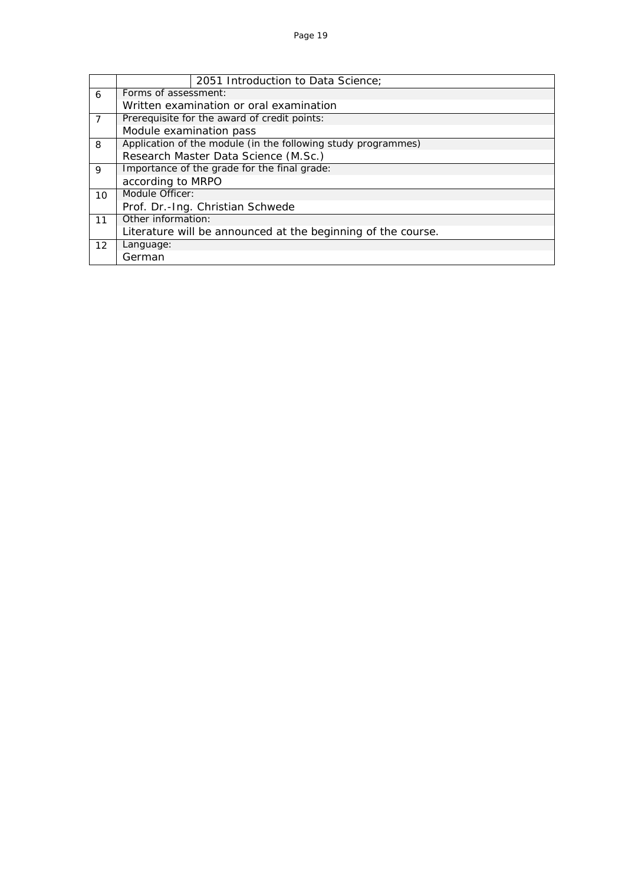|    |                                                              | 2051 Introduction to Data Science;                            |  |  |  |  |
|----|--------------------------------------------------------------|---------------------------------------------------------------|--|--|--|--|
| 6  | Forms of assessment:                                         |                                                               |  |  |  |  |
|    |                                                              | Written examination or oral examination                       |  |  |  |  |
| 7  |                                                              | Prerequisite for the award of credit points:                  |  |  |  |  |
|    | Module examination pass                                      |                                                               |  |  |  |  |
| 8  |                                                              | Application of the module (in the following study programmes) |  |  |  |  |
|    |                                                              | Research Master Data Science (M.Sc.)                          |  |  |  |  |
| 9  |                                                              | Importance of the grade for the final grade:                  |  |  |  |  |
|    | according to MRPO                                            |                                                               |  |  |  |  |
| 10 | Module Officer:                                              |                                                               |  |  |  |  |
|    |                                                              | Prof. Dr.-Ing. Christian Schwede                              |  |  |  |  |
| 11 | Other information:                                           |                                                               |  |  |  |  |
|    | Literature will be announced at the beginning of the course. |                                                               |  |  |  |  |
| 12 | Language:                                                    |                                                               |  |  |  |  |
|    | German                                                       |                                                               |  |  |  |  |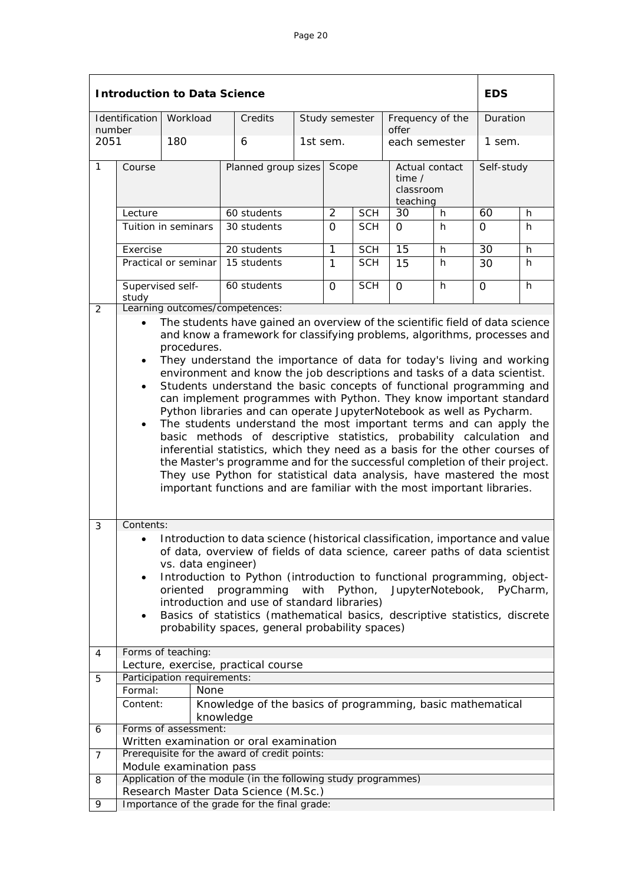|                |                                                                                                                                                                                                                                                                                                                                                                                                                                                                                                                                                                                                                                                                                                                                                                                                                                                                                                                                                                                                                                                                                                              | <b>Introduction to Data Science</b> |                                                                                                       |          |                |            |                                                     |   | <b>EDS</b>      |   |
|----------------|--------------------------------------------------------------------------------------------------------------------------------------------------------------------------------------------------------------------------------------------------------------------------------------------------------------------------------------------------------------------------------------------------------------------------------------------------------------------------------------------------------------------------------------------------------------------------------------------------------------------------------------------------------------------------------------------------------------------------------------------------------------------------------------------------------------------------------------------------------------------------------------------------------------------------------------------------------------------------------------------------------------------------------------------------------------------------------------------------------------|-------------------------------------|-------------------------------------------------------------------------------------------------------|----------|----------------|------------|-----------------------------------------------------|---|-----------------|---|
| number         | Identification                                                                                                                                                                                                                                                                                                                                                                                                                                                                                                                                                                                                                                                                                                                                                                                                                                                                                                                                                                                                                                                                                               | Workload                            | Credits                                                                                               |          | Study semester |            | Frequency of the<br>offer                           |   | Duration        |   |
| 2051           |                                                                                                                                                                                                                                                                                                                                                                                                                                                                                                                                                                                                                                                                                                                                                                                                                                                                                                                                                                                                                                                                                                              | 180                                 | 6                                                                                                     | 1st sem. |                |            | each semester                                       |   | 1 sem.          |   |
| $\mathbf{1}$   | Course                                                                                                                                                                                                                                                                                                                                                                                                                                                                                                                                                                                                                                                                                                                                                                                                                                                                                                                                                                                                                                                                                                       |                                     | Planned group sizes                                                                                   |          | Scope          |            | Actual contact<br>time $/$<br>classroom<br>teaching |   | Self-study      |   |
|                | Lecture                                                                                                                                                                                                                                                                                                                                                                                                                                                                                                                                                                                                                                                                                                                                                                                                                                                                                                                                                                                                                                                                                                      |                                     | 60 students                                                                                           |          | $\overline{2}$ | <b>SCH</b> | 30                                                  | h | 60              | h |
|                |                                                                                                                                                                                                                                                                                                                                                                                                                                                                                                                                                                                                                                                                                                                                                                                                                                                                                                                                                                                                                                                                                                              | Tuition in seminars                 | 30 students                                                                                           |          | $\Omega$       | <b>SCH</b> | 0                                                   | h | 0               | h |
|                | Exercise                                                                                                                                                                                                                                                                                                                                                                                                                                                                                                                                                                                                                                                                                                                                                                                                                                                                                                                                                                                                                                                                                                     |                                     | 20 students                                                                                           |          | $\overline{1}$ | <b>SCH</b> | $\overline{15}$                                     | h | $\overline{30}$ | h |
|                |                                                                                                                                                                                                                                                                                                                                                                                                                                                                                                                                                                                                                                                                                                                                                                                                                                                                                                                                                                                                                                                                                                              | Practical or seminar                | 15 students                                                                                           |          | 1              | <b>SCH</b> | 15                                                  | h | 30              | h |
|                | Supervised self-<br>study                                                                                                                                                                                                                                                                                                                                                                                                                                                                                                                                                                                                                                                                                                                                                                                                                                                                                                                                                                                                                                                                                    |                                     | 60 students                                                                                           |          | 0              | <b>SCH</b> | $\overline{0}$                                      | h | 0               | h |
| 3              | Learning outcomes/competences:<br>2<br>The students have gained an overview of the scientific field of data science<br>$\bullet$<br>and know a framework for classifying problems, algorithms, processes and<br>procedures.<br>They understand the importance of data for today's living and working<br>$\bullet$<br>environment and know the job descriptions and tasks of a data scientist.<br>Students understand the basic concepts of functional programming and<br>$\bullet$<br>can implement programmes with Python. They know important standard<br>Python libraries and can operate JupyterNotebook as well as Pycharm.<br>The students understand the most important terms and can apply the<br>$\bullet$<br>basic methods of descriptive statistics, probability calculation and<br>inferential statistics, which they need as a basis for the other courses of<br>the Master's programme and for the successful completion of their project.<br>They use Python for statistical data analysis, have mastered the most<br>important functions and are familiar with the most important libraries. |                                     |                                                                                                       |          |                |            |                                                     |   |                 |   |
|                | Contents:<br>Introduction to data science (historical classification, importance and value<br>of data, overview of fields of data science, career paths of data scientist<br>vs. data engineer)<br>Introduction to Python (introduction to functional programming, object-<br>$\bullet$<br>programming<br>with<br>Python,<br>JupyterNotebook,<br>oriented<br>PyCharm,<br>introduction and use of standard libraries)<br>Basics of statistics (mathematical basics, descriptive statistics, discrete<br>$\bullet$<br>probability spaces, general probability spaces)                                                                                                                                                                                                                                                                                                                                                                                                                                                                                                                                          |                                     |                                                                                                       |          |                |            |                                                     |   |                 |   |
| 4              |                                                                                                                                                                                                                                                                                                                                                                                                                                                                                                                                                                                                                                                                                                                                                                                                                                                                                                                                                                                                                                                                                                              | Forms of teaching:                  | Lecture, exercise, practical course                                                                   |          |                |            |                                                     |   |                 |   |
| 5              |                                                                                                                                                                                                                                                                                                                                                                                                                                                                                                                                                                                                                                                                                                                                                                                                                                                                                                                                                                                                                                                                                                              | Participation requirements:         |                                                                                                       |          |                |            |                                                     |   |                 |   |
|                | Formal:                                                                                                                                                                                                                                                                                                                                                                                                                                                                                                                                                                                                                                                                                                                                                                                                                                                                                                                                                                                                                                                                                                      | None                                |                                                                                                       |          |                |            |                                                     |   |                 |   |
|                | Content:                                                                                                                                                                                                                                                                                                                                                                                                                                                                                                                                                                                                                                                                                                                                                                                                                                                                                                                                                                                                                                                                                                     |                                     | Knowledge of the basics of programming, basic mathematical<br>knowledge                               |          |                |            |                                                     |   |                 |   |
| 6              |                                                                                                                                                                                                                                                                                                                                                                                                                                                                                                                                                                                                                                                                                                                                                                                                                                                                                                                                                                                                                                                                                                              | Forms of assessment:                | Written examination or oral examination                                                               |          |                |            |                                                     |   |                 |   |
| $\overline{7}$ |                                                                                                                                                                                                                                                                                                                                                                                                                                                                                                                                                                                                                                                                                                                                                                                                                                                                                                                                                                                                                                                                                                              |                                     | Prerequisite for the award of credit points:                                                          |          |                |            |                                                     |   |                 |   |
|                |                                                                                                                                                                                                                                                                                                                                                                                                                                                                                                                                                                                                                                                                                                                                                                                                                                                                                                                                                                                                                                                                                                              | Module examination pass             |                                                                                                       |          |                |            |                                                     |   |                 |   |
| 8              |                                                                                                                                                                                                                                                                                                                                                                                                                                                                                                                                                                                                                                                                                                                                                                                                                                                                                                                                                                                                                                                                                                              |                                     | Application of the module (in the following study programmes)<br>Research Master Data Science (M.Sc.) |          |                |            |                                                     |   |                 |   |
| 9              |                                                                                                                                                                                                                                                                                                                                                                                                                                                                                                                                                                                                                                                                                                                                                                                                                                                                                                                                                                                                                                                                                                              |                                     | Importance of the grade for the final grade:                                                          |          |                |            |                                                     |   |                 |   |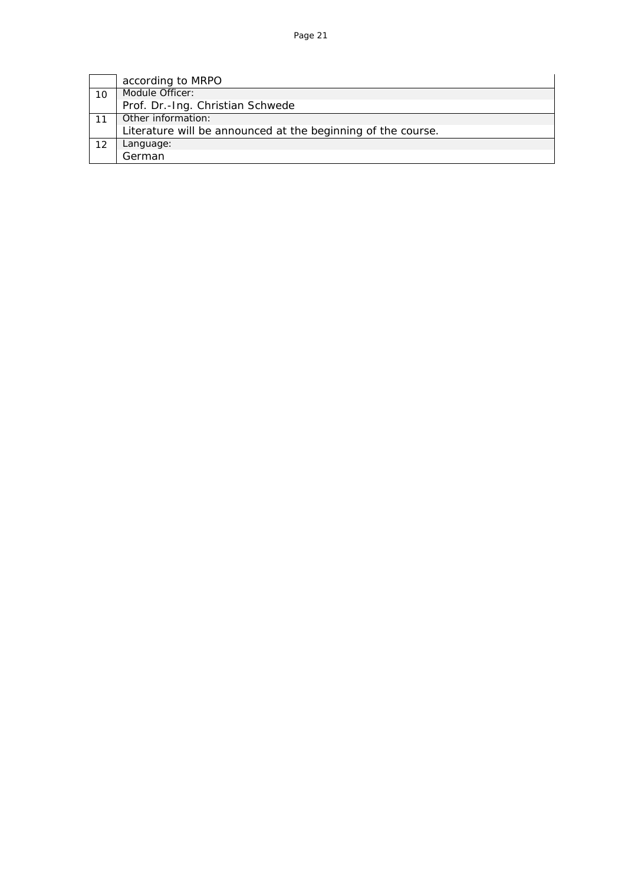|    | according to MRPO                                            |
|----|--------------------------------------------------------------|
| 10 | Module Officer:                                              |
|    | Prof. Dr.-Ing. Christian Schwede                             |
|    | Other information:                                           |
|    | Literature will be announced at the beginning of the course. |
|    | Language:                                                    |
|    | German                                                       |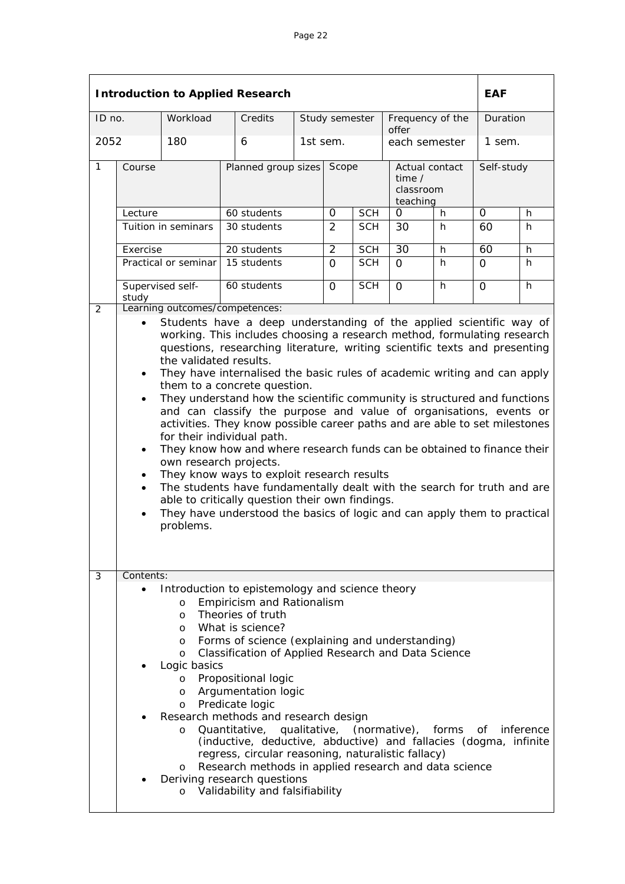|        |                                                                                                                                                                                                                                                                                                                                                                                                                                                                                                                                                                                                                                                                                                                                                                                                                                                                                                                                                                                                                                                                                                       |                                                                                                                            | <b>Introduction to Applied Research</b>                                                                                                                                                                                                                                                                                                                                                                                                                                                                                                                                                                                                                      |  |                |            |                                        |                         | <b>EAF</b> |   |
|--------|-------------------------------------------------------------------------------------------------------------------------------------------------------------------------------------------------------------------------------------------------------------------------------------------------------------------------------------------------------------------------------------------------------------------------------------------------------------------------------------------------------------------------------------------------------------------------------------------------------------------------------------------------------------------------------------------------------------------------------------------------------------------------------------------------------------------------------------------------------------------------------------------------------------------------------------------------------------------------------------------------------------------------------------------------------------------------------------------------------|----------------------------------------------------------------------------------------------------------------------------|--------------------------------------------------------------------------------------------------------------------------------------------------------------------------------------------------------------------------------------------------------------------------------------------------------------------------------------------------------------------------------------------------------------------------------------------------------------------------------------------------------------------------------------------------------------------------------------------------------------------------------------------------------------|--|----------------|------------|----------------------------------------|-------------------------|------------|---|
| ID no. |                                                                                                                                                                                                                                                                                                                                                                                                                                                                                                                                                                                                                                                                                                                                                                                                                                                                                                                                                                                                                                                                                                       | Workload                                                                                                                   | Credits                                                                                                                                                                                                                                                                                                                                                                                                                                                                                                                                                                                                                                                      |  | Study semester |            | Frequency of the<br>offer              |                         | Duration   |   |
| 2052   |                                                                                                                                                                                                                                                                                                                                                                                                                                                                                                                                                                                                                                                                                                                                                                                                                                                                                                                                                                                                                                                                                                       | 180                                                                                                                        | 6                                                                                                                                                                                                                                                                                                                                                                                                                                                                                                                                                                                                                                                            |  | 1st sem.       |            |                                        | each semester<br>1 sem. |            |   |
| 1      | Course                                                                                                                                                                                                                                                                                                                                                                                                                                                                                                                                                                                                                                                                                                                                                                                                                                                                                                                                                                                                                                                                                                |                                                                                                                            | Planned group sizes                                                                                                                                                                                                                                                                                                                                                                                                                                                                                                                                                                                                                                          |  | Scope          |            | time $\prime$<br>classroom<br>teaching | Actual contact          | Self-study |   |
|        | Lecture                                                                                                                                                                                                                                                                                                                                                                                                                                                                                                                                                                                                                                                                                                                                                                                                                                                                                                                                                                                                                                                                                               |                                                                                                                            | 60 students                                                                                                                                                                                                                                                                                                                                                                                                                                                                                                                                                                                                                                                  |  | $\Omega$       | <b>SCH</b> | 0                                      | h                       | $\Omega$   | h |
|        |                                                                                                                                                                                                                                                                                                                                                                                                                                                                                                                                                                                                                                                                                                                                                                                                                                                                                                                                                                                                                                                                                                       | Tuition in seminars                                                                                                        | 30 students                                                                                                                                                                                                                                                                                                                                                                                                                                                                                                                                                                                                                                                  |  | 2              | <b>SCH</b> | 30                                     | h                       | 60         | h |
|        | Exercise                                                                                                                                                                                                                                                                                                                                                                                                                                                                                                                                                                                                                                                                                                                                                                                                                                                                                                                                                                                                                                                                                              |                                                                                                                            | 20 students                                                                                                                                                                                                                                                                                                                                                                                                                                                                                                                                                                                                                                                  |  | 2              | <b>SCH</b> | 30                                     | h                       | 60         | h |
|        |                                                                                                                                                                                                                                                                                                                                                                                                                                                                                                                                                                                                                                                                                                                                                                                                                                                                                                                                                                                                                                                                                                       | Practical or seminar                                                                                                       | 15 students                                                                                                                                                                                                                                                                                                                                                                                                                                                                                                                                                                                                                                                  |  | $\Omega$       | <b>SCH</b> | $\Omega$                               | h                       | $\Omega$   | h |
|        | study                                                                                                                                                                                                                                                                                                                                                                                                                                                                                                                                                                                                                                                                                                                                                                                                                                                                                                                                                                                                                                                                                                 | Supervised self-                                                                                                           | 60 students                                                                                                                                                                                                                                                                                                                                                                                                                                                                                                                                                                                                                                                  |  | $\Omega$       | <b>SCH</b> | $\Omega$                               | h                       | $\Omega$   | h |
| 2      |                                                                                                                                                                                                                                                                                                                                                                                                                                                                                                                                                                                                                                                                                                                                                                                                                                                                                                                                                                                                                                                                                                       |                                                                                                                            | Learning outcomes/competences:                                                                                                                                                                                                                                                                                                                                                                                                                                                                                                                                                                                                                               |  |                |            |                                        |                         |            |   |
|        | Students have a deep understanding of the applied scientific way of<br>$\bullet$<br>working. This includes choosing a research method, formulating research<br>questions, researching literature, writing scientific texts and presenting<br>the validated results.<br>They have internalised the basic rules of academic writing and can apply<br>$\bullet$<br>them to a concrete question.<br>They understand how the scientific community is structured and functions<br>$\bullet$<br>and can classify the purpose and value of organisations, events or<br>activities. They know possible career paths and are able to set milestones<br>for their individual path.<br>They know how and where research funds can be obtained to finance their<br>$\bullet$<br>own research projects.<br>They know ways to exploit research results<br>$\bullet$<br>The students have fundamentally dealt with the search for truth and are<br>$\bullet$<br>able to critically question their own findings.<br>They have understood the basics of logic and can apply them to practical<br>$\bullet$<br>problems. |                                                                                                                            |                                                                                                                                                                                                                                                                                                                                                                                                                                                                                                                                                                                                                                                              |  |                |            |                                        |                         |            |   |
|        |                                                                                                                                                                                                                                                                                                                                                                                                                                                                                                                                                                                                                                                                                                                                                                                                                                                                                                                                                                                                                                                                                                       |                                                                                                                            |                                                                                                                                                                                                                                                                                                                                                                                                                                                                                                                                                                                                                                                              |  |                |            |                                        |                         |            |   |
| 3      | Contents:                                                                                                                                                                                                                                                                                                                                                                                                                                                                                                                                                                                                                                                                                                                                                                                                                                                                                                                                                                                                                                                                                             |                                                                                                                            |                                                                                                                                                                                                                                                                                                                                                                                                                                                                                                                                                                                                                                                              |  |                |            |                                        |                         |            |   |
|        |                                                                                                                                                                                                                                                                                                                                                                                                                                                                                                                                                                                                                                                                                                                                                                                                                                                                                                                                                                                                                                                                                                       | $\circ$<br>$\Omega$<br>O<br>$\circ$<br>$\circ$<br>Logic basics<br>$\circ$<br>O<br>$\circ$<br>$\circ$<br>$\circ$<br>$\circ$ | Introduction to epistemology and science theory<br>Empiricism and Rationalism<br>Theories of truth<br>What is science?<br>Forms of science (explaining and understanding)<br>Classification of Applied Research and Data Science<br>Propositional logic<br>Argumentation logic<br>Predicate logic<br>Research methods and research design<br>Quantitative, qualitative, (normative), forms of inference<br>(inductive, deductive, abductive) and fallacies (dogma, infinite<br>regress, circular reasoning, naturalistic fallacy)<br>Research methods in applied research and data science<br>Deriving research questions<br>Validability and falsifiability |  |                |            |                                        |                         |            |   |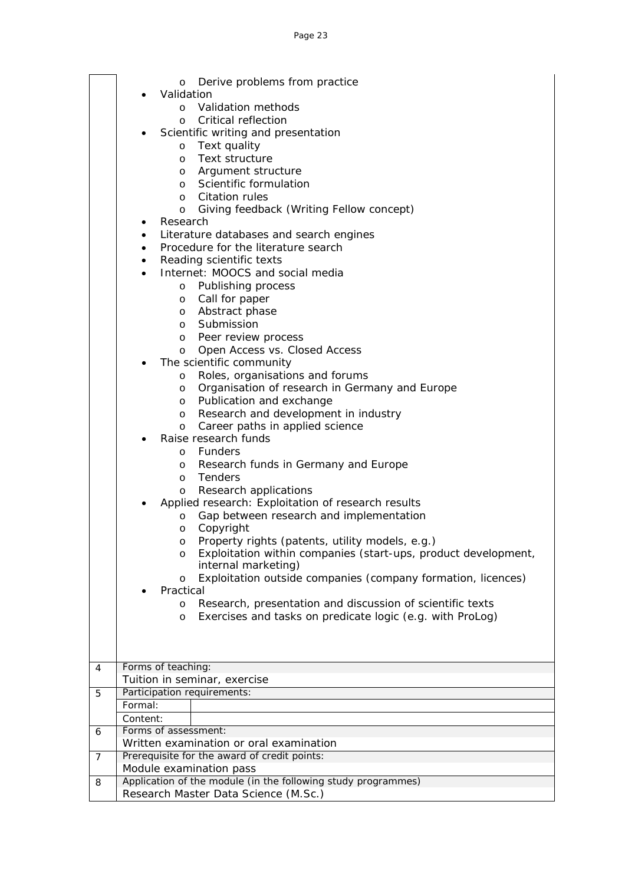|                | Derive problems from practice<br>O                                          |
|----------------|-----------------------------------------------------------------------------|
|                | Validation                                                                  |
|                | Validation methods<br>O                                                     |
|                | Critical reflection<br>$\circ$                                              |
|                | Scientific writing and presentation                                         |
|                | Text quality<br>$\circ$                                                     |
|                | Text structure<br>$\circ$                                                   |
|                | Argument structure<br>O                                                     |
|                | Scientific formulation<br>$\circ$                                           |
|                | Citation rules<br>$\circ$                                                   |
|                | Giving feedback (Writing Fellow concept)<br>O                               |
|                | Research<br>٠                                                               |
|                | Literature databases and search engines<br>$\bullet$                        |
|                | Procedure for the literature search<br>$\bullet$                            |
|                | Reading scientific texts<br>$\bullet$                                       |
|                | Internet: MOOCS and social media<br>$\bullet$                               |
|                | o Publishing process                                                        |
|                | Call for paper<br>O                                                         |
|                | Abstract phase<br>O                                                         |
|                | Submission<br>$\circ$                                                       |
|                | Peer review process<br>O                                                    |
|                | Open Access vs. Closed Access<br>O                                          |
|                | The scientific community                                                    |
|                | Roles, organisations and forums<br>O                                        |
|                | Organisation of research in Germany and Europe<br>O                         |
|                | Publication and exchange<br>$\circ$<br>Research and development in industry |
|                | O<br>Career paths in applied science<br>$\circ$                             |
|                | Raise research funds                                                        |
|                | <b>Funders</b><br>O                                                         |
|                | Research funds in Germany and Europe<br>O                                   |
|                | Tenders<br>$\circ$                                                          |
|                | Research applications<br>O                                                  |
|                | Applied research: Exploitation of research results                          |
|                | Gap between research and implementation<br>O                                |
|                | Copyright<br>O                                                              |
|                | Property rights (patents, utility models, e.g.)<br>$\circ$                  |
|                | Exploitation within companies (start-ups, product development,<br>$\circ$   |
|                | internal marketing)                                                         |
|                | Exploitation outside companies (company formation, licences)<br>O           |
|                | Practical                                                                   |
|                | Research, presentation and discussion of scientific texts<br>O              |
|                | Exercises and tasks on predicate logic (e.g. with ProLog)<br>O              |
|                |                                                                             |
|                |                                                                             |
|                |                                                                             |
| 4              | Forms of teaching:                                                          |
|                | Tuition in seminar, exercise<br>Participation requirements:                 |
| 5              | Formal:                                                                     |
|                | Content:                                                                    |
|                | Forms of assessment:                                                        |
| 6              | Written examination or oral examination                                     |
| $\overline{7}$ | Prerequisite for the award of credit points:                                |
|                | Module examination pass                                                     |
| 8              | Application of the module (in the following study programmes)               |
|                | Research Master Data Science (M.Sc.)                                        |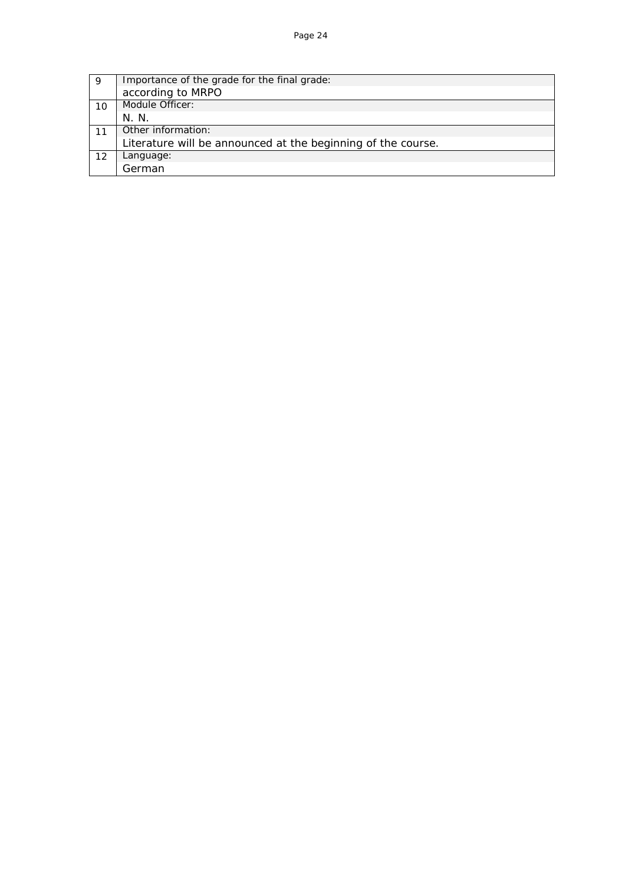| 9  | Importance of the grade for the final grade:                 |
|----|--------------------------------------------------------------|
|    | according to MRPO                                            |
| 10 | Module Officer:                                              |
|    | N. N.                                                        |
|    | Other information:                                           |
|    | Literature will be announced at the beginning of the course. |
| 12 | Language:                                                    |
|    | German                                                       |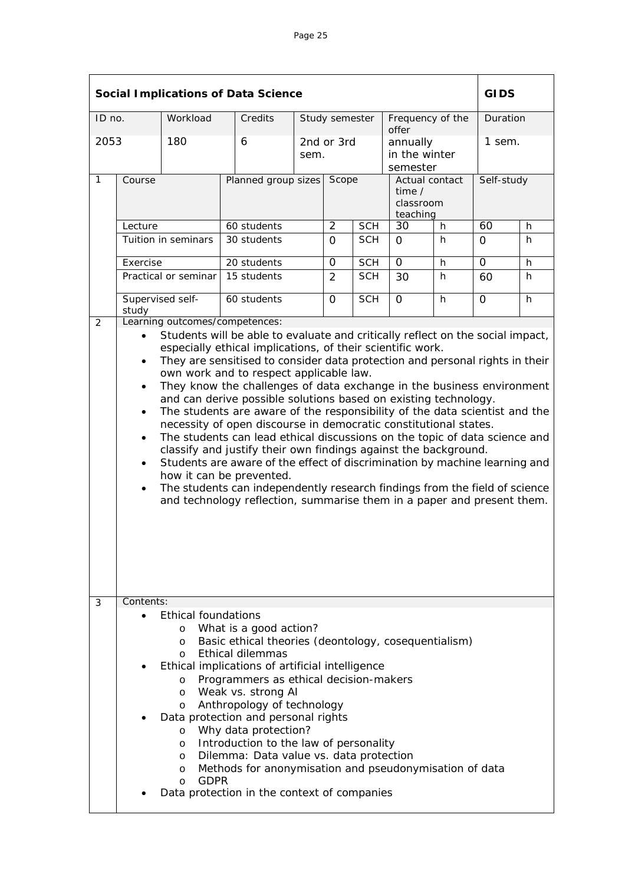|                      |                                                                                                                                                                                                                                                                                                                                                                                                                                                                                                                                                                                                                                                                                                                                                                                                                                                                                                                                                                                                                                                                                     |                                                                                                       | <b>Social Implications of Data Science</b>                                                                                                                                                                                                                                                                                                                                                                                                                                                                              |                |                     |            |                                                         |    | <b>GIDS</b>          |          |  |
|----------------------|-------------------------------------------------------------------------------------------------------------------------------------------------------------------------------------------------------------------------------------------------------------------------------------------------------------------------------------------------------------------------------------------------------------------------------------------------------------------------------------------------------------------------------------------------------------------------------------------------------------------------------------------------------------------------------------------------------------------------------------------------------------------------------------------------------------------------------------------------------------------------------------------------------------------------------------------------------------------------------------------------------------------------------------------------------------------------------------|-------------------------------------------------------------------------------------------------------|-------------------------------------------------------------------------------------------------------------------------------------------------------------------------------------------------------------------------------------------------------------------------------------------------------------------------------------------------------------------------------------------------------------------------------------------------------------------------------------------------------------------------|----------------|---------------------|------------|---------------------------------------------------------|----|----------------------|----------|--|
| ID no.               |                                                                                                                                                                                                                                                                                                                                                                                                                                                                                                                                                                                                                                                                                                                                                                                                                                                                                                                                                                                                                                                                                     | Workload                                                                                              | Credits                                                                                                                                                                                                                                                                                                                                                                                                                                                                                                                 | Study semester |                     |            | Frequency of the<br>offer                               |    |                      | Duration |  |
| 2053<br>$\mathbf{1}$ | Course                                                                                                                                                                                                                                                                                                                                                                                                                                                                                                                                                                                                                                                                                                                                                                                                                                                                                                                                                                                                                                                                              | 180                                                                                                   | 6<br>sem.<br>Planned group sizes                                                                                                                                                                                                                                                                                                                                                                                                                                                                                        |                | 2nd or 3rd<br>Scope |            | annually<br>in the winter<br>semester<br>Actual contact |    | 1 sem.<br>Self-study |          |  |
|                      |                                                                                                                                                                                                                                                                                                                                                                                                                                                                                                                                                                                                                                                                                                                                                                                                                                                                                                                                                                                                                                                                                     |                                                                                                       |                                                                                                                                                                                                                                                                                                                                                                                                                                                                                                                         |                |                     |            | time $\prime$<br>classroom<br>teaching                  |    |                      |          |  |
|                      | Lecture                                                                                                                                                                                                                                                                                                                                                                                                                                                                                                                                                                                                                                                                                                                                                                                                                                                                                                                                                                                                                                                                             |                                                                                                       | 60 students                                                                                                                                                                                                                                                                                                                                                                                                                                                                                                             |                | $\overline{2}$      | <b>SCH</b> | 30<br>h                                                 |    | 60                   | h        |  |
|                      |                                                                                                                                                                                                                                                                                                                                                                                                                                                                                                                                                                                                                                                                                                                                                                                                                                                                                                                                                                                                                                                                                     | Tuition in seminars                                                                                   | 30 students                                                                                                                                                                                                                                                                                                                                                                                                                                                                                                             |                | $\Omega$            | <b>SCH</b> | $\Omega$                                                | h. | $\mathbf{O}$         | h.       |  |
|                      | Exercise                                                                                                                                                                                                                                                                                                                                                                                                                                                                                                                                                                                                                                                                                                                                                                                                                                                                                                                                                                                                                                                                            |                                                                                                       | 20 students                                                                                                                                                                                                                                                                                                                                                                                                                                                                                                             |                | $\mathsf{O}$        | <b>SCH</b> | $\overline{0}$                                          | h  | $\overline{0}$       | h        |  |
|                      |                                                                                                                                                                                                                                                                                                                                                                                                                                                                                                                                                                                                                                                                                                                                                                                                                                                                                                                                                                                                                                                                                     | Practical or seminar                                                                                  | 15 students                                                                                                                                                                                                                                                                                                                                                                                                                                                                                                             |                | $\overline{2}$      | <b>SCH</b> | 30                                                      | h. | 60                   | h        |  |
|                      | Supervised self-<br>study                                                                                                                                                                                                                                                                                                                                                                                                                                                                                                                                                                                                                                                                                                                                                                                                                                                                                                                                                                                                                                                           |                                                                                                       | 60 students                                                                                                                                                                                                                                                                                                                                                                                                                                                                                                             |                | $\overline{O}$      | <b>SCH</b> | $\Omega$                                                | h  | $\Omega$             | h        |  |
| 2                    |                                                                                                                                                                                                                                                                                                                                                                                                                                                                                                                                                                                                                                                                                                                                                                                                                                                                                                                                                                                                                                                                                     |                                                                                                       | Learning outcomes/competences:                                                                                                                                                                                                                                                                                                                                                                                                                                                                                          |                |                     |            |                                                         |    |                      |          |  |
| 3                    | Students will be able to evaluate and critically reflect on the social impact,<br>$\bullet$<br>especially ethical implications, of their scientific work.<br>They are sensitised to consider data protection and personal rights in their<br>$\bullet$<br>own work and to respect applicable law.<br>They know the challenges of data exchange in the business environment<br>$\bullet$<br>and can derive possible solutions based on existing technology.<br>The students are aware of the responsibility of the data scientist and the<br>$\bullet$<br>necessity of open discourse in democratic constitutional states.<br>The students can lead ethical discussions on the topic of data science and<br>$\bullet$<br>classify and justify their own findings against the background.<br>Students are aware of the effect of discrimination by machine learning and<br>$\bullet$<br>how it can be prevented.<br>The students can independently research findings from the field of science<br>$\bullet$<br>and technology reflection, summarise them in a paper and present them. |                                                                                                       |                                                                                                                                                                                                                                                                                                                                                                                                                                                                                                                         |                |                     |            |                                                         |    |                      |          |  |
|                      |                                                                                                                                                                                                                                                                                                                                                                                                                                                                                                                                                                                                                                                                                                                                                                                                                                                                                                                                                                                                                                                                                     | <b>Ethical foundations</b><br>O<br>O<br>$\circ$<br>O<br>O<br>O<br>O<br>O<br>O<br>O<br>GDPR<br>$\circ$ | What is a good action?<br>Basic ethical theories (deontology, cosequentialism)<br><b>Ethical dilemmas</b><br>Ethical implications of artificial intelligence<br>Programmers as ethical decision-makers<br>Weak vs. strong AI<br>Anthropology of technology<br>Data protection and personal rights<br>Why data protection?<br>Introduction to the law of personality<br>Dilemma: Data value vs. data protection<br>Methods for anonymisation and pseudonymisation of data<br>Data protection in the context of companies |                |                     |            |                                                         |    |                      |          |  |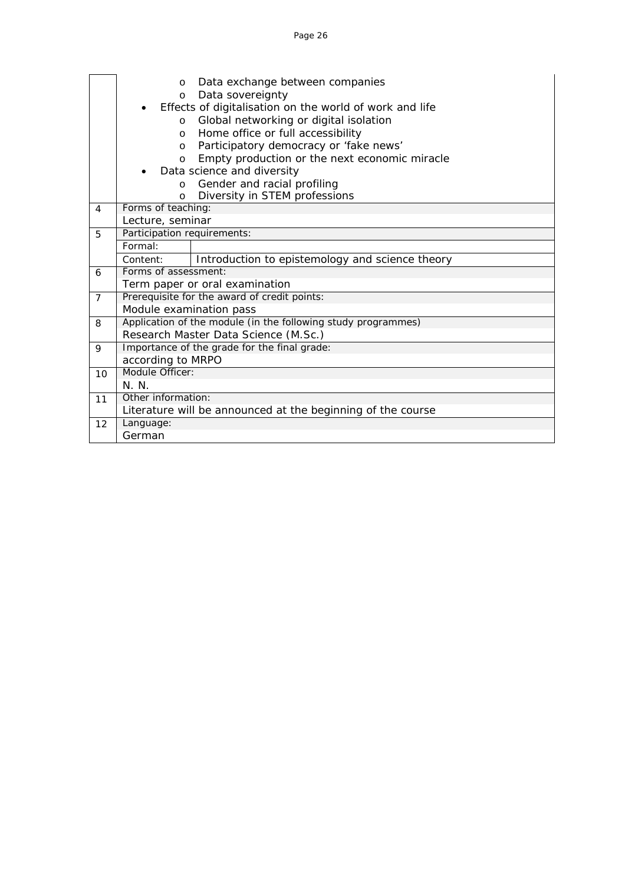|                | Data exchange between companies<br>$\circ$<br>Data sovereignty<br>$\circ$ |
|----------------|---------------------------------------------------------------------------|
|                | Effects of digitalisation on the world of work and life<br>$\bullet$      |
|                | Global networking or digital isolation<br>$\circ$                         |
|                | Home office or full accessibility<br>$\circ$                              |
|                | Participatory democracy or 'fake news'<br>$\circ$                         |
|                | Empty production or the next economic miracle<br>$\circ$                  |
|                | Data science and diversity                                                |
|                | Gender and racial profiling<br>$\circ$                                    |
|                | Diversity in STEM professions<br>$\Omega$                                 |
| 4              | Forms of teaching:                                                        |
|                | Lecture, seminar                                                          |
| 5              | Participation requirements:                                               |
|                | Formal:                                                                   |
|                | Introduction to epistemology and science theory<br>Content:               |
| 6              | Forms of assessment:                                                      |
|                | Term paper or oral examination                                            |
| $\overline{7}$ | Prerequisite for the award of credit points:                              |
|                | Module examination pass                                                   |
| 8              | Application of the module (in the following study programmes)             |
|                | Research Master Data Science (M.Sc.)                                      |
| 9              | Importance of the grade for the final grade:                              |
|                | according to MRPO                                                         |
| 10             | Module Officer:                                                           |
|                | N N                                                                       |
| 11             | Other information:                                                        |
|                | Literature will be announced at the beginning of the course               |
| 12             | Language:                                                                 |
|                | German                                                                    |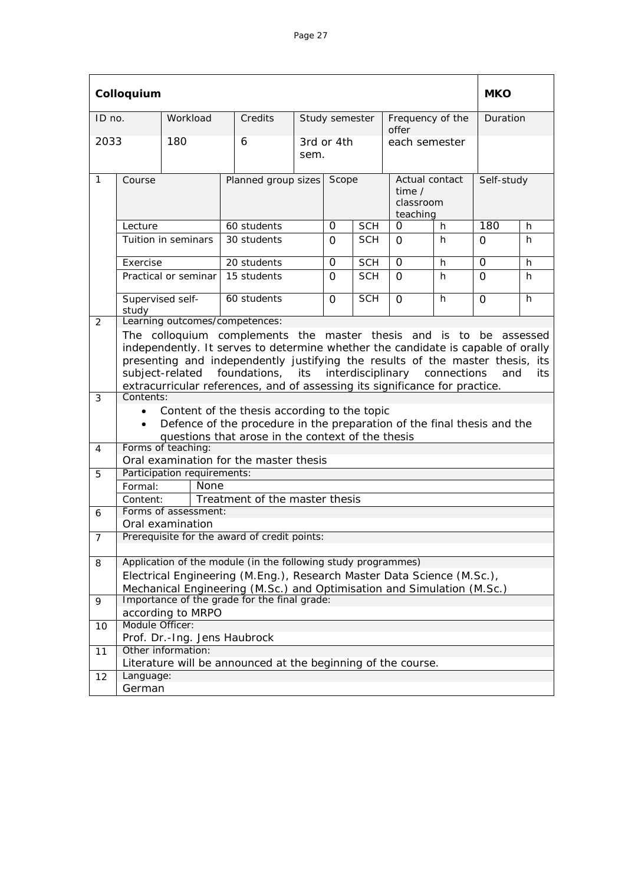|                | Colloquium                                                                                                                                                                                                                                                                                                                                                                                                      |                              |                                                                                                                                         |                    |                |            |                                                   |    |             | <b>MKO</b> |  |
|----------------|-----------------------------------------------------------------------------------------------------------------------------------------------------------------------------------------------------------------------------------------------------------------------------------------------------------------------------------------------------------------------------------------------------------------|------------------------------|-----------------------------------------------------------------------------------------------------------------------------------------|--------------------|----------------|------------|---------------------------------------------------|----|-------------|------------|--|
| ID no.         |                                                                                                                                                                                                                                                                                                                                                                                                                 | Workload                     | Credits                                                                                                                                 |                    | Study semester |            | Frequency of the<br>offer                         |    | Duration    |            |  |
| 2033           |                                                                                                                                                                                                                                                                                                                                                                                                                 | 180                          | 6                                                                                                                                       | 3rd or 4th<br>sem. |                |            | each semester                                     |    |             |            |  |
| $\mathbf{1}$   | Course                                                                                                                                                                                                                                                                                                                                                                                                          | Planned group sizes          |                                                                                                                                         |                    | Scope          |            | Actual contact<br>time /<br>classroom<br>teaching |    | Self-study  |            |  |
|                | Lecture                                                                                                                                                                                                                                                                                                                                                                                                         |                              | 60 students                                                                                                                             |                    | $\Omega$       | <b>SCH</b> | 0                                                 | h  | 180         | h          |  |
|                |                                                                                                                                                                                                                                                                                                                                                                                                                 | Tuition in seminars          | 30 students                                                                                                                             |                    | 0              | <b>SCH</b> | $\Omega$                                          | h  | $\Omega$    | h.         |  |
|                | Exercise                                                                                                                                                                                                                                                                                                                                                                                                        |                              | 20 students                                                                                                                             |                    | $\Omega$       | <b>SCH</b> | $\Omega$                                          | h  | $\mathbf 0$ | h          |  |
|                |                                                                                                                                                                                                                                                                                                                                                                                                                 | Practical or seminar         | 15 students                                                                                                                             |                    | $\Omega$       | <b>SCH</b> | $\Omega$                                          | h  | $\Omega$    | h          |  |
| 2              | Supervised self-<br>study                                                                                                                                                                                                                                                                                                                                                                                       |                              | 60 students<br>Learning outcomes/competences:                                                                                           |                    | $\Omega$       | <b>SCH</b> | $\Omega$                                          | h. | $\mathbf 0$ | h          |  |
| 3              | The colloquium complements the master thesis and is to be assessed<br>independently. It serves to determine whether the candidate is capable of orally<br>presenting and independently justifying the results of the master thesis, its<br>interdisciplinary<br>subject-related<br>foundations, its<br>connections<br>and<br>its<br>extracurricular references, and of assessing its significance for practice. |                              |                                                                                                                                         |                    |                |            |                                                   |    |             |            |  |
|                | Contents:<br>Content of the thesis according to the topic<br>$\bullet$<br>Defence of the procedure in the preparation of the final thesis and the<br>questions that arose in the context of the thesis                                                                                                                                                                                                          |                              |                                                                                                                                         |                    |                |            |                                                   |    |             |            |  |
| 4              |                                                                                                                                                                                                                                                                                                                                                                                                                 | Forms of teaching:           | Oral examination for the master thesis                                                                                                  |                    |                |            |                                                   |    |             |            |  |
| 5              |                                                                                                                                                                                                                                                                                                                                                                                                                 | Participation requirements:  |                                                                                                                                         |                    |                |            |                                                   |    |             |            |  |
|                | Formal:                                                                                                                                                                                                                                                                                                                                                                                                         | None                         |                                                                                                                                         |                    |                |            |                                                   |    |             |            |  |
|                | Content:                                                                                                                                                                                                                                                                                                                                                                                                        |                              | Treatment of the master thesis                                                                                                          |                    |                |            |                                                   |    |             |            |  |
| 6              |                                                                                                                                                                                                                                                                                                                                                                                                                 | Forms of assessment:         |                                                                                                                                         |                    |                |            |                                                   |    |             |            |  |
|                |                                                                                                                                                                                                                                                                                                                                                                                                                 | Oral examination             |                                                                                                                                         |                    |                |            |                                                   |    |             |            |  |
| $\overline{7}$ |                                                                                                                                                                                                                                                                                                                                                                                                                 |                              | Prerequisite for the award of credit points:                                                                                            |                    |                |            |                                                   |    |             |            |  |
| 8              |                                                                                                                                                                                                                                                                                                                                                                                                                 |                              | Application of the module (in the following study programmes)<br>Electrical Engineering (M.Eng.), Research Master Data Science (M.Sc.), |                    |                |            |                                                   |    |             |            |  |
|                |                                                                                                                                                                                                                                                                                                                                                                                                                 |                              | Mechanical Engineering (M.Sc.) and Optimisation and Simulation (M.Sc.)                                                                  |                    |                |            |                                                   |    |             |            |  |
| 9              |                                                                                                                                                                                                                                                                                                                                                                                                                 | according to MRPO            | Importance of the grade for the final grade:                                                                                            |                    |                |            |                                                   |    |             |            |  |
| 10             | Module Officer:                                                                                                                                                                                                                                                                                                                                                                                                 | Prof. Dr.-Ing. Jens Haubrock |                                                                                                                                         |                    |                |            |                                                   |    |             |            |  |
| 11             |                                                                                                                                                                                                                                                                                                                                                                                                                 | Other information:           |                                                                                                                                         |                    |                |            |                                                   |    |             |            |  |
|                |                                                                                                                                                                                                                                                                                                                                                                                                                 |                              | Literature will be announced at the beginning of the course.                                                                            |                    |                |            |                                                   |    |             |            |  |
| 12             | Language:                                                                                                                                                                                                                                                                                                                                                                                                       |                              |                                                                                                                                         |                    |                |            |                                                   |    |             |            |  |
|                | German                                                                                                                                                                                                                                                                                                                                                                                                          |                              |                                                                                                                                         |                    |                |            |                                                   |    |             |            |  |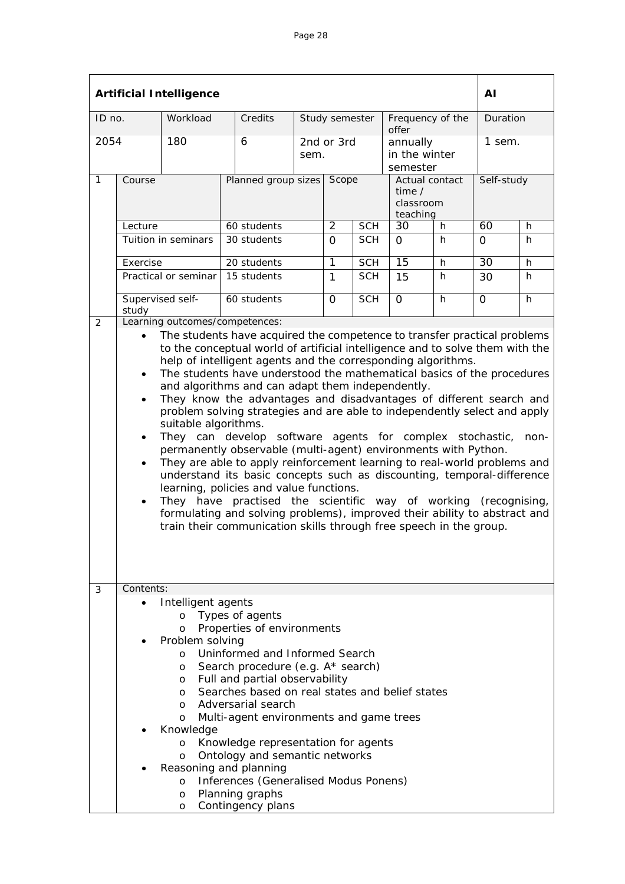| <b>Artificial Intelligence</b> |                                                                                                                                                                                                                                                                                                                                                                                                                                                                                                                                                                                                                                                                                                                                                                                                                                                                                                                                                                                                                                                                              |                      |                                                                                                            |  |                     |            |                                                                     |    |                      | AI       |  |
|--------------------------------|------------------------------------------------------------------------------------------------------------------------------------------------------------------------------------------------------------------------------------------------------------------------------------------------------------------------------------------------------------------------------------------------------------------------------------------------------------------------------------------------------------------------------------------------------------------------------------------------------------------------------------------------------------------------------------------------------------------------------------------------------------------------------------------------------------------------------------------------------------------------------------------------------------------------------------------------------------------------------------------------------------------------------------------------------------------------------|----------------------|------------------------------------------------------------------------------------------------------------|--|---------------------|------------|---------------------------------------------------------------------|----|----------------------|----------|--|
| ID no.                         |                                                                                                                                                                                                                                                                                                                                                                                                                                                                                                                                                                                                                                                                                                                                                                                                                                                                                                                                                                                                                                                                              | Workload             | Credits                                                                                                    |  | Study semester      |            | Frequency of the<br>offer                                           |    |                      | Duration |  |
| 2054<br>$\mathbf{1}$           | Course                                                                                                                                                                                                                                                                                                                                                                                                                                                                                                                                                                                                                                                                                                                                                                                                                                                                                                                                                                                                                                                                       | 180                  | 6<br>sem.<br>Planned group sizes                                                                           |  | 2nd or 3rd<br>Scope |            | annually<br>in the winter<br>semester<br>Actual contact<br>time $/$ |    | 1 sem.<br>Self-study |          |  |
|                                |                                                                                                                                                                                                                                                                                                                                                                                                                                                                                                                                                                                                                                                                                                                                                                                                                                                                                                                                                                                                                                                                              |                      |                                                                                                            |  |                     |            | classroom<br>teaching                                               |    |                      |          |  |
|                                | Lecture                                                                                                                                                                                                                                                                                                                                                                                                                                                                                                                                                                                                                                                                                                                                                                                                                                                                                                                                                                                                                                                                      |                      | 60 students                                                                                                |  | $\overline{2}$      | <b>SCH</b> | 30<br>h                                                             |    | 60                   | h.       |  |
|                                | Tuition in seminars                                                                                                                                                                                                                                                                                                                                                                                                                                                                                                                                                                                                                                                                                                                                                                                                                                                                                                                                                                                                                                                          |                      | 30 students                                                                                                |  | $\Omega$            | <b>SCH</b> | $\Omega$                                                            | h. | $\Omega$             | h        |  |
|                                | Exercise                                                                                                                                                                                                                                                                                                                                                                                                                                                                                                                                                                                                                                                                                                                                                                                                                                                                                                                                                                                                                                                                     |                      | 20 students                                                                                                |  | 1                   | <b>SCH</b> | 15                                                                  | h  | 30                   | h        |  |
|                                |                                                                                                                                                                                                                                                                                                                                                                                                                                                                                                                                                                                                                                                                                                                                                                                                                                                                                                                                                                                                                                                                              | Practical or seminar | 15 students                                                                                                |  | 1                   | <b>SCH</b> | 15                                                                  | h. | 30                   | h        |  |
|                                | study                                                                                                                                                                                                                                                                                                                                                                                                                                                                                                                                                                                                                                                                                                                                                                                                                                                                                                                                                                                                                                                                        | Supervised self-     | 60 students                                                                                                |  | $\Omega$            | <b>SCH</b> | $\Omega$                                                            | h  | $\Omega$             | h        |  |
| 2                              | $\bullet$                                                                                                                                                                                                                                                                                                                                                                                                                                                                                                                                                                                                                                                                                                                                                                                                                                                                                                                                                                                                                                                                    |                      | Learning outcomes/competences:<br>The students have acquired the competence to transfer practical problems |  |                     |            |                                                                     |    |                      |          |  |
| 3                              | to the conceptual world of artificial intelligence and to solve them with the<br>help of intelligent agents and the corresponding algorithms.<br>The students have understood the mathematical basics of the procedures<br>$\bullet$<br>and algorithms and can adapt them independently.<br>They know the advantages and disadvantages of different search and<br>$\bullet$<br>problem solving strategies and are able to independently select and apply<br>suitable algorithms.<br>They can develop software agents for complex stochastic,<br>$\bullet$<br>permanently observable (multi-agent) environments with Python.<br>They are able to apply reinforcement learning to real-world problems and<br>$\bullet$<br>understand its basic concepts such as discounting, temporal-difference<br>learning, policies and value functions.<br>They have practised the scientific way of working (recognising,<br>$\bullet$<br>formulating and solving problems), improved their ability to abstract and<br>train their communication skills through free speech in the group. |                      |                                                                                                            |  |                     |            | non-                                                                |    |                      |          |  |
|                                | Contents:<br>Intelligent agents<br>Types of agents<br>O<br>Properties of environments<br>$\Omega$<br>Problem solving<br>Uninformed and Informed Search<br>$\circ$<br>Search procedure (e.g. A* search)<br>O<br>Full and partial observability<br>O<br>Searches based on real states and belief states<br>O<br>Adversarial search<br>$\circ$<br>Multi-agent environments and game trees<br>$\circ$<br>Knowledge<br>Knowledge representation for agents<br>$\circ$<br>Ontology and semantic networks<br>$\circ$<br>Reasoning and planning<br>Inferences (Generalised Modus Ponens)<br>$\circ$<br>Planning graphs<br>O<br>Contingency plans<br>O                                                                                                                                                                                                                                                                                                                                                                                                                                |                      |                                                                                                            |  |                     |            |                                                                     |    |                      |          |  |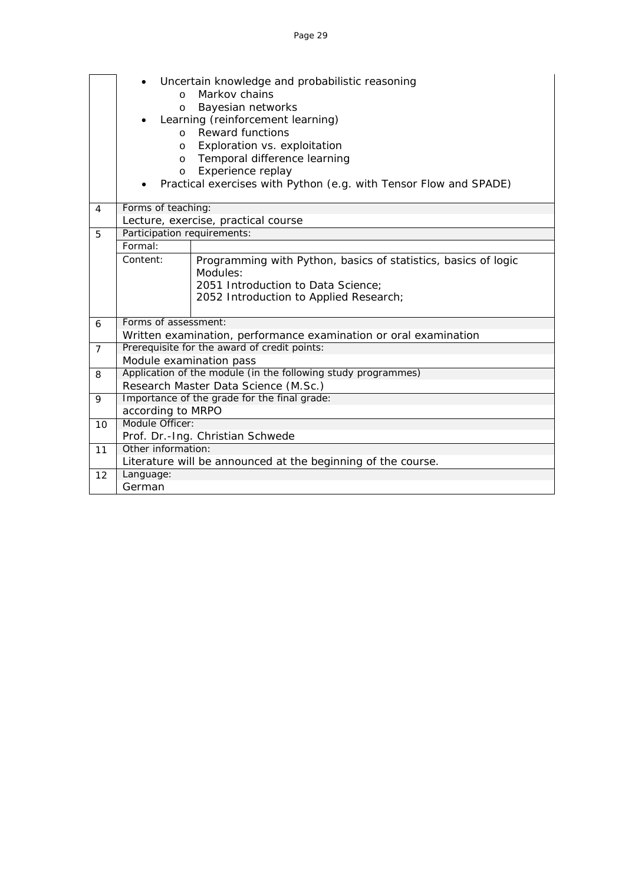|                | $\Omega$<br>$\circ$<br>$\Omega$<br>O                              | Uncertain knowledge and probabilistic reasoning<br>Markov chains<br>Bayesian networks<br>Learning (reinforcement learning)<br><b>Reward functions</b><br>Exploration vs. exploitation |  |  |  |  |  |  |  |
|----------------|-------------------------------------------------------------------|---------------------------------------------------------------------------------------------------------------------------------------------------------------------------------------|--|--|--|--|--|--|--|
|                | O                                                                 | Temporal difference learning                                                                                                                                                          |  |  |  |  |  |  |  |
|                | $\circ$                                                           | Experience replay                                                                                                                                                                     |  |  |  |  |  |  |  |
|                | Practical exercises with Python (e.g. with Tensor Flow and SPADE) |                                                                                                                                                                                       |  |  |  |  |  |  |  |
| $\overline{4}$ | Forms of teaching:                                                |                                                                                                                                                                                       |  |  |  |  |  |  |  |
|                |                                                                   | Lecture, exercise, practical course                                                                                                                                                   |  |  |  |  |  |  |  |
| 5              | Participation requirements:                                       |                                                                                                                                                                                       |  |  |  |  |  |  |  |
|                | Formal:                                                           |                                                                                                                                                                                       |  |  |  |  |  |  |  |
|                | Content:                                                          | Programming with Python, basics of statistics, basics of logic<br>Modules:                                                                                                            |  |  |  |  |  |  |  |
|                |                                                                   | 2051 Introduction to Data Science;<br>2052 Introduction to Applied Research;                                                                                                          |  |  |  |  |  |  |  |
| 6              | Forms of assessment:                                              |                                                                                                                                                                                       |  |  |  |  |  |  |  |
|                |                                                                   | Written examination, performance examination or oral examination                                                                                                                      |  |  |  |  |  |  |  |
| $\overline{7}$ |                                                                   | Prerequisite for the award of credit points:                                                                                                                                          |  |  |  |  |  |  |  |
|                | Module examination pass                                           |                                                                                                                                                                                       |  |  |  |  |  |  |  |
| 8              |                                                                   | Application of the module (in the following study programmes)                                                                                                                         |  |  |  |  |  |  |  |
|                |                                                                   | Research Master Data Science (M.Sc.)                                                                                                                                                  |  |  |  |  |  |  |  |
| 9              |                                                                   | Importance of the grade for the final grade:                                                                                                                                          |  |  |  |  |  |  |  |
|                | according to MRPO                                                 |                                                                                                                                                                                       |  |  |  |  |  |  |  |
| 10             | Module Officer:                                                   |                                                                                                                                                                                       |  |  |  |  |  |  |  |
|                |                                                                   | Prof. Dr.-Ing. Christian Schwede                                                                                                                                                      |  |  |  |  |  |  |  |
| 11             | Other information:                                                |                                                                                                                                                                                       |  |  |  |  |  |  |  |
|                |                                                                   | Literature will be announced at the beginning of the course.                                                                                                                          |  |  |  |  |  |  |  |
| 12             | Language:                                                         |                                                                                                                                                                                       |  |  |  |  |  |  |  |
|                | German                                                            |                                                                                                                                                                                       |  |  |  |  |  |  |  |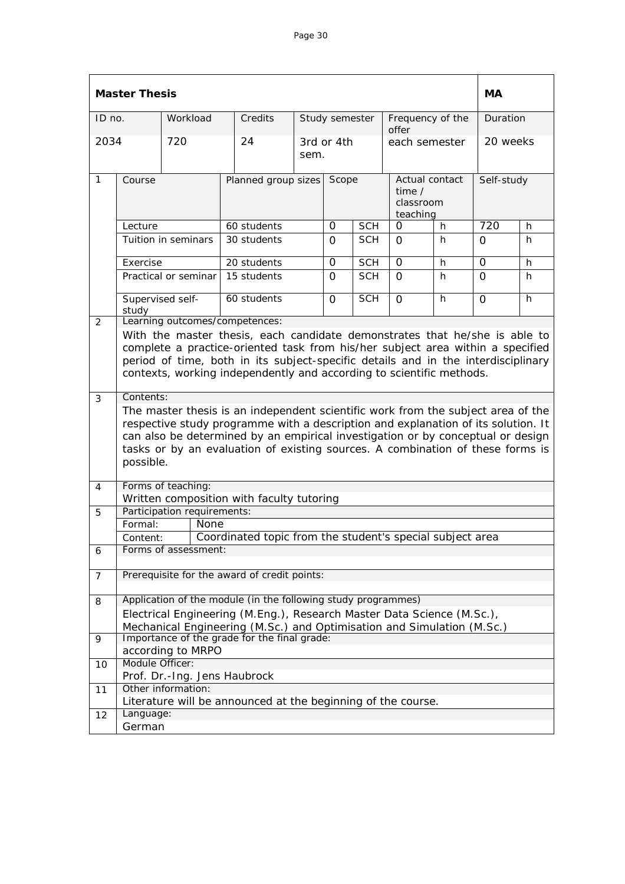|                | <b>Master Thesis</b>                                                                                                                                                                                                                                                                                                                                                 |                              |                                                                        |                     |                    |            |          |                                         |          |            |
|----------------|----------------------------------------------------------------------------------------------------------------------------------------------------------------------------------------------------------------------------------------------------------------------------------------------------------------------------------------------------------------------|------------------------------|------------------------------------------------------------------------|---------------------|--------------------|------------|----------|-----------------------------------------|----------|------------|
| ID no.         |                                                                                                                                                                                                                                                                                                                                                                      | Workload                     | Credits                                                                |                     | Study semester     |            | offer    | Frequency of the                        |          | Duration   |
| 2034           |                                                                                                                                                                                                                                                                                                                                                                      | 720                          | 24                                                                     |                     | 3rd or 4th<br>sem. |            |          | each semester                           |          | 20 weeks   |
| $\mathbf{1}$   | Course                                                                                                                                                                                                                                                                                                                                                               |                              |                                                                        | Planned group sizes |                    | Scope      | time $/$ | Actual contact<br>classroom<br>teaching |          | Self-study |
|                | Lecture                                                                                                                                                                                                                                                                                                                                                              |                              | 60 students                                                            |                     | 0                  | <b>SCH</b> | O        | h.                                      | 720      | h          |
|                |                                                                                                                                                                                                                                                                                                                                                                      | Tuition in seminars          | 30 students                                                            |                     | $\Omega$           | <b>SCH</b> | $\Omega$ | h                                       | $\Omega$ | h          |
|                | Exercise                                                                                                                                                                                                                                                                                                                                                             |                              | 20 students                                                            |                     | $\Omega$           | <b>SCH</b> | $\Omega$ | h                                       | $\Omega$ | h          |
|                |                                                                                                                                                                                                                                                                                                                                                                      | Practical or seminar         | 15 students                                                            |                     | $\Omega$           | <b>SCH</b> | $\Omega$ | h.                                      | $\Omega$ | h          |
|                | Supervised self-<br>study                                                                                                                                                                                                                                                                                                                                            |                              | 60 students<br>Learning outcomes/competences:                          |                     | $\Omega$           | <b>SCH</b> | $\Omega$ | h                                       | 0        | h          |
|                | With the master thesis, each candidate demonstrates that he/she is able to<br>complete a practice-oriented task from his/her subject area within a specified<br>period of time, both in its subject-specific details and in the interdisciplinary<br>contexts, working independently and according to scientific methods.                                            |                              |                                                                        |                     |                    |            |          |                                         |          |            |
| 3              | Contents:<br>The master thesis is an independent scientific work from the subject area of the<br>respective study programme with a description and explanation of its solution. It<br>can also be determined by an empirical investigation or by conceptual or design<br>tasks or by an evaluation of existing sources. A combination of these forms is<br>possible. |                              |                                                                        |                     |                    |            |          |                                         |          |            |
| 4              |                                                                                                                                                                                                                                                                                                                                                                      | Forms of teaching:           |                                                                        |                     |                    |            |          |                                         |          |            |
|                |                                                                                                                                                                                                                                                                                                                                                                      |                              | Written composition with faculty tutoring                              |                     |                    |            |          |                                         |          |            |
| 5              |                                                                                                                                                                                                                                                                                                                                                                      | Participation requirements:  |                                                                        |                     |                    |            |          |                                         |          |            |
|                | Formal:                                                                                                                                                                                                                                                                                                                                                              | None                         |                                                                        |                     |                    |            |          |                                         |          |            |
|                | Content:                                                                                                                                                                                                                                                                                                                                                             |                              | Coordinated topic from the student's special subject area              |                     |                    |            |          |                                         |          |            |
| 6              |                                                                                                                                                                                                                                                                                                                                                                      | Forms of assessment:         |                                                                        |                     |                    |            |          |                                         |          |            |
| $\overline{7}$ |                                                                                                                                                                                                                                                                                                                                                                      |                              | Prerequisite for the award of credit points:                           |                     |                    |            |          |                                         |          |            |
| 8              |                                                                                                                                                                                                                                                                                                                                                                      |                              | Application of the module (in the following study programmes)          |                     |                    |            |          |                                         |          |            |
|                |                                                                                                                                                                                                                                                                                                                                                                      |                              | Electrical Engineering (M.Eng.), Research Master Data Science (M.Sc.), |                     |                    |            |          |                                         |          |            |
|                |                                                                                                                                                                                                                                                                                                                                                                      |                              | Mechanical Engineering (M.Sc.) and Optimisation and Simulation (M.Sc.) |                     |                    |            |          |                                         |          |            |
| 9              |                                                                                                                                                                                                                                                                                                                                                                      |                              | Importance of the grade for the final grade:                           |                     |                    |            |          |                                         |          |            |
|                |                                                                                                                                                                                                                                                                                                                                                                      | according to MRPO            |                                                                        |                     |                    |            |          |                                         |          |            |
| 10             | Module Officer:                                                                                                                                                                                                                                                                                                                                                      | Prof. Dr.-Ing. Jens Haubrock |                                                                        |                     |                    |            |          |                                         |          |            |
| 11             |                                                                                                                                                                                                                                                                                                                                                                      | Other information:           |                                                                        |                     |                    |            |          |                                         |          |            |
|                |                                                                                                                                                                                                                                                                                                                                                                      |                              | Literature will be announced at the beginning of the course.           |                     |                    |            |          |                                         |          |            |
| 12             | Language:                                                                                                                                                                                                                                                                                                                                                            |                              |                                                                        |                     |                    |            |          |                                         |          |            |
|                | German                                                                                                                                                                                                                                                                                                                                                               |                              |                                                                        |                     |                    |            |          |                                         |          |            |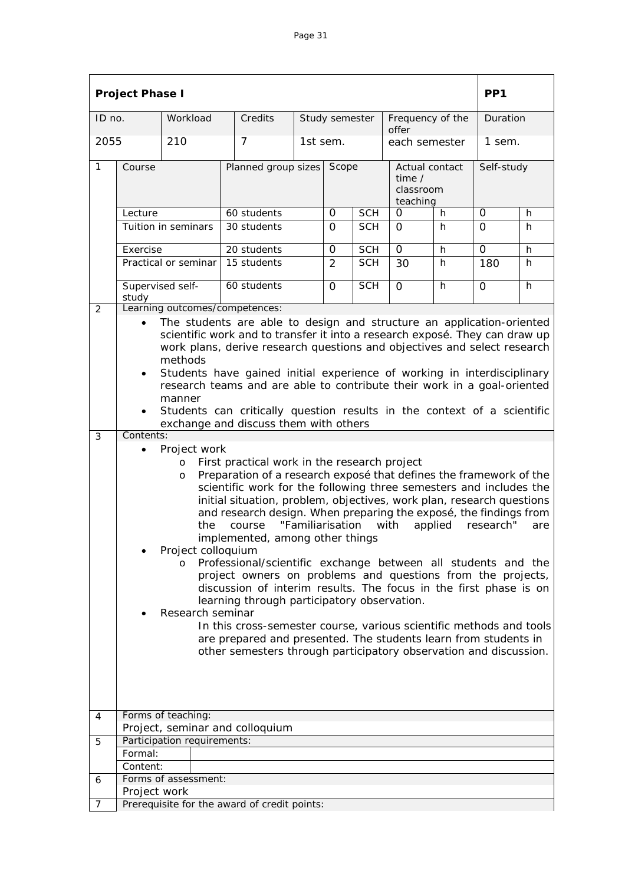|              | <b>Project Phase I</b>                                                                                                                                                                                                                                                                                                                                                                                                                                                                                                                                                                                                                                                                                                                                                                                                                                                                                                                                                                                                     |                             |                                              |  |                |            |                                                     |    | PP <sub>1</sub> |    |  |
|--------------|----------------------------------------------------------------------------------------------------------------------------------------------------------------------------------------------------------------------------------------------------------------------------------------------------------------------------------------------------------------------------------------------------------------------------------------------------------------------------------------------------------------------------------------------------------------------------------------------------------------------------------------------------------------------------------------------------------------------------------------------------------------------------------------------------------------------------------------------------------------------------------------------------------------------------------------------------------------------------------------------------------------------------|-----------------------------|----------------------------------------------|--|----------------|------------|-----------------------------------------------------|----|-----------------|----|--|
| ID no.       |                                                                                                                                                                                                                                                                                                                                                                                                                                                                                                                                                                                                                                                                                                                                                                                                                                                                                                                                                                                                                            | Workload                    | Credits                                      |  | Study semester |            | Frequency of the<br>offer                           |    | Duration        |    |  |
| 2055         |                                                                                                                                                                                                                                                                                                                                                                                                                                                                                                                                                                                                                                                                                                                                                                                                                                                                                                                                                                                                                            | 210                         | 7                                            |  | 1st sem.       |            | each semester                                       |    | 1 sem.          |    |  |
| 1            | Course                                                                                                                                                                                                                                                                                                                                                                                                                                                                                                                                                                                                                                                                                                                                                                                                                                                                                                                                                                                                                     | Planned group sizes         |                                              |  | Scope          |            | Actual contact<br>time $/$<br>classroom<br>teaching |    | Self-study      |    |  |
|              | Lecture                                                                                                                                                                                                                                                                                                                                                                                                                                                                                                                                                                                                                                                                                                                                                                                                                                                                                                                                                                                                                    |                             | 60 students                                  |  | 0              | <b>SCH</b> | O                                                   | h. | 0               | h  |  |
|              | Tuition in seminars                                                                                                                                                                                                                                                                                                                                                                                                                                                                                                                                                                                                                                                                                                                                                                                                                                                                                                                                                                                                        |                             | 30 students                                  |  | $\Omega$       | <b>SCH</b> | $\Omega$                                            | h  | $\Omega$        | h  |  |
|              | Exercise                                                                                                                                                                                                                                                                                                                                                                                                                                                                                                                                                                                                                                                                                                                                                                                                                                                                                                                                                                                                                   |                             | 20 students                                  |  | 0              | <b>SCH</b> | 0                                                   | h  | $\mathbf 0$     | h  |  |
|              |                                                                                                                                                                                                                                                                                                                                                                                                                                                                                                                                                                                                                                                                                                                                                                                                                                                                                                                                                                                                                            | Practical or seminar        | 15 students                                  |  | 2              | <b>SCH</b> | 30                                                  | h. | 180             | h. |  |
|              | study                                                                                                                                                                                                                                                                                                                                                                                                                                                                                                                                                                                                                                                                                                                                                                                                                                                                                                                                                                                                                      | Supervised self-            | 60 students                                  |  | $\Omega$       | <b>SCH</b> | $\Omega$                                            | h  | $\Omega$        | h  |  |
| 2            |                                                                                                                                                                                                                                                                                                                                                                                                                                                                                                                                                                                                                                                                                                                                                                                                                                                                                                                                                                                                                            |                             | Learning outcomes/competences:               |  |                |            |                                                     |    |                 |    |  |
|              | The students are able to design and structure an application-oriented<br>scientific work and to transfer it into a research exposé. They can draw up<br>work plans, derive research questions and objectives and select research<br>methods<br>Students have gained initial experience of working in interdisciplinary<br>$\bullet$<br>research teams and are able to contribute their work in a goal-oriented<br>manner<br>Students can critically question results in the context of a scientific<br>$\bullet$<br>exchange and discuss them with others                                                                                                                                                                                                                                                                                                                                                                                                                                                                  |                             |                                              |  |                |            |                                                     |    |                 |    |  |
| $\mathbf{3}$ | Contents:                                                                                                                                                                                                                                                                                                                                                                                                                                                                                                                                                                                                                                                                                                                                                                                                                                                                                                                                                                                                                  |                             |                                              |  |                |            |                                                     |    |                 |    |  |
|              | Project work<br>$\bullet$<br>First practical work in the research project<br>$\circ$<br>Preparation of a research exposé that defines the framework of the<br>O<br>scientific work for the following three semesters and includes the<br>initial situation, problem, objectives, work plan, research questions<br>and research design. When preparing the exposé, the findings from<br>"Familiarisation<br>with<br>the<br>course<br>applied<br>research"<br>are<br>implemented, among other things<br>Project colloquium<br>Professional/scientific exchange between all students and the<br>$\circ$<br>project owners on problems and questions from the projects,<br>discussion of interim results. The focus in the first phase is on<br>learning through participatory observation.<br>Research seminar<br>In this cross-semester course, various scientific methods and tools<br>are prepared and presented. The students learn from students in<br>other semesters through participatory observation and discussion. |                             |                                              |  |                |            |                                                     |    |                 |    |  |
| 4            |                                                                                                                                                                                                                                                                                                                                                                                                                                                                                                                                                                                                                                                                                                                                                                                                                                                                                                                                                                                                                            | Forms of teaching:          |                                              |  |                |            |                                                     |    |                 |    |  |
|              |                                                                                                                                                                                                                                                                                                                                                                                                                                                                                                                                                                                                                                                                                                                                                                                                                                                                                                                                                                                                                            |                             | Project, seminar and colloquium              |  |                |            |                                                     |    |                 |    |  |
| 5            |                                                                                                                                                                                                                                                                                                                                                                                                                                                                                                                                                                                                                                                                                                                                                                                                                                                                                                                                                                                                                            | Participation requirements: |                                              |  |                |            |                                                     |    |                 |    |  |
|              | Formal:                                                                                                                                                                                                                                                                                                                                                                                                                                                                                                                                                                                                                                                                                                                                                                                                                                                                                                                                                                                                                    |                             |                                              |  |                |            |                                                     |    |                 |    |  |
|              | Content:                                                                                                                                                                                                                                                                                                                                                                                                                                                                                                                                                                                                                                                                                                                                                                                                                                                                                                                                                                                                                   |                             |                                              |  |                |            |                                                     |    |                 |    |  |
| 6            |                                                                                                                                                                                                                                                                                                                                                                                                                                                                                                                                                                                                                                                                                                                                                                                                                                                                                                                                                                                                                            | Forms of assessment:        |                                              |  |                |            |                                                     |    |                 |    |  |
|              | Project work                                                                                                                                                                                                                                                                                                                                                                                                                                                                                                                                                                                                                                                                                                                                                                                                                                                                                                                                                                                                               |                             |                                              |  |                |            |                                                     |    |                 |    |  |
| 7            |                                                                                                                                                                                                                                                                                                                                                                                                                                                                                                                                                                                                                                                                                                                                                                                                                                                                                                                                                                                                                            |                             | Prerequisite for the award of credit points: |  |                |            |                                                     |    |                 |    |  |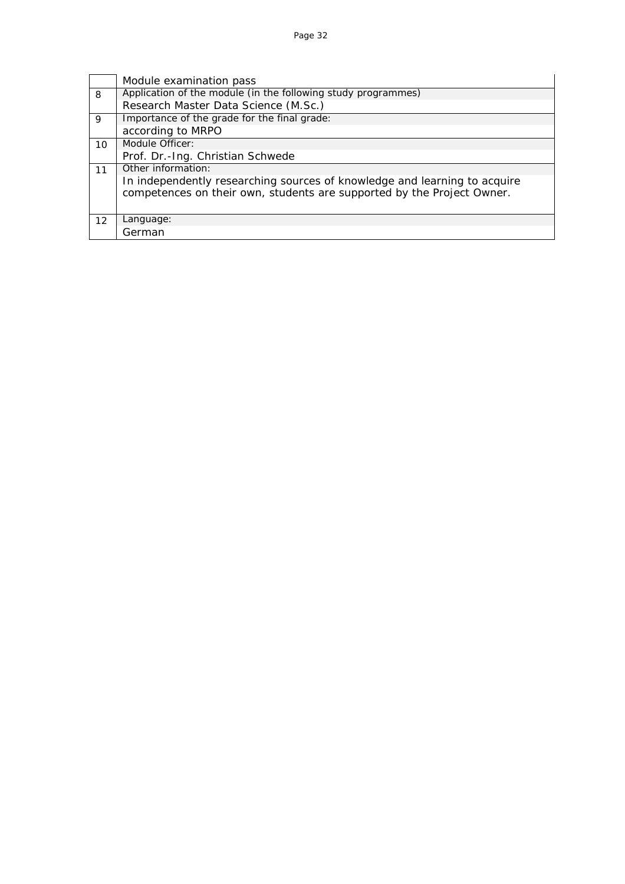|    | Module examination pass                                                   |
|----|---------------------------------------------------------------------------|
| 8  | Application of the module (in the following study programmes)             |
|    | Research Master Data Science (M.Sc.)                                      |
| 9  | Importance of the grade for the final grade:                              |
|    | according to MRPO                                                         |
| 10 | Module Officer:                                                           |
|    | Prof. Dr.-Ing. Christian Schwede                                          |
| 11 | Other information:                                                        |
|    | In independently researching sources of knowledge and learning to acquire |
|    | competences on their own, students are supported by the Project Owner.    |
|    |                                                                           |
| 12 | Language:                                                                 |
|    | German                                                                    |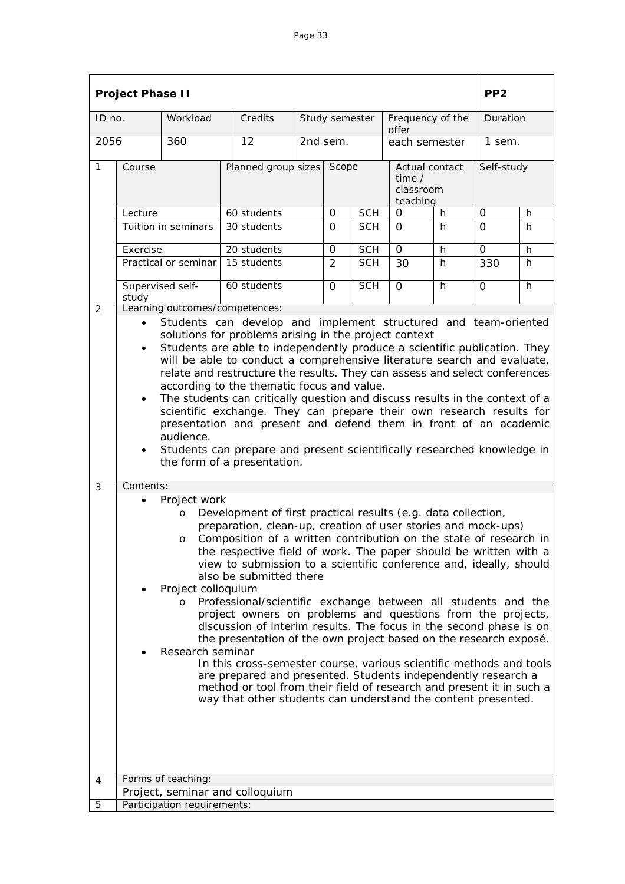|                | <b>Project Phase II</b>                                                                                                                                                                                                                                                                                                                                                                                                                                                                                                                                                                                                                                                                                                                                                                                                                                                                                                                                                                                                          |                             |                                               |   |                |            |                                                   |    | PP <sub>2</sub> |    |  |
|----------------|----------------------------------------------------------------------------------------------------------------------------------------------------------------------------------------------------------------------------------------------------------------------------------------------------------------------------------------------------------------------------------------------------------------------------------------------------------------------------------------------------------------------------------------------------------------------------------------------------------------------------------------------------------------------------------------------------------------------------------------------------------------------------------------------------------------------------------------------------------------------------------------------------------------------------------------------------------------------------------------------------------------------------------|-----------------------------|-----------------------------------------------|---|----------------|------------|---------------------------------------------------|----|-----------------|----|--|
| ID no.         |                                                                                                                                                                                                                                                                                                                                                                                                                                                                                                                                                                                                                                                                                                                                                                                                                                                                                                                                                                                                                                  | Workload                    | Credits                                       |   | Study semester |            | Frequency of the<br>offer                         |    | Duration        |    |  |
| 2056           |                                                                                                                                                                                                                                                                                                                                                                                                                                                                                                                                                                                                                                                                                                                                                                                                                                                                                                                                                                                                                                  | 360                         | 12                                            |   | 2nd sem.       |            | each semester                                     |    | 1 sem.          |    |  |
| $\overline{1}$ | Course                                                                                                                                                                                                                                                                                                                                                                                                                                                                                                                                                                                                                                                                                                                                                                                                                                                                                                                                                                                                                           |                             | Planned group sizes Scope                     |   |                |            | Actual contact<br>time /<br>classroom<br>teaching |    | Self-study      |    |  |
|                | Lecture                                                                                                                                                                                                                                                                                                                                                                                                                                                                                                                                                                                                                                                                                                                                                                                                                                                                                                                                                                                                                          |                             | 60 students                                   | 0 | <b>SCH</b>     | 0          | h.                                                | 0  | h               |    |  |
|                | Tuition in seminars                                                                                                                                                                                                                                                                                                                                                                                                                                                                                                                                                                                                                                                                                                                                                                                                                                                                                                                                                                                                              |                             | 30 students                                   |   | 0              | <b>SCH</b> | 0                                                 | h. | 0               | h  |  |
|                | Exercise                                                                                                                                                                                                                                                                                                                                                                                                                                                                                                                                                                                                                                                                                                                                                                                                                                                                                                                                                                                                                         |                             | 20 students                                   |   | 0              | <b>SCH</b> | $\Omega$                                          | h  | $\mathbf{O}$    | h  |  |
|                |                                                                                                                                                                                                                                                                                                                                                                                                                                                                                                                                                                                                                                                                                                                                                                                                                                                                                                                                                                                                                                  | Practical or seminar        | 15 students                                   |   | 2              | <b>SCH</b> | 30                                                | h. | 330             | h. |  |
| $\overline{2}$ | study                                                                                                                                                                                                                                                                                                                                                                                                                                                                                                                                                                                                                                                                                                                                                                                                                                                                                                                                                                                                                            | Supervised self-            | 60 students<br>Learning outcomes/competences: |   | $\Omega$       | <b>SCH</b> | $\Omega$                                          | h. | 0               | h  |  |
|                | Students are able to independently produce a scientific publication. They<br>$\bullet$<br>will be able to conduct a comprehensive literature search and evaluate,<br>relate and restructure the results. They can assess and select conferences<br>according to the thematic focus and value.<br>The students can critically question and discuss results in the context of a<br>$\bullet$<br>scientific exchange. They can prepare their own research results for<br>presentation and present and defend them in front of an academic<br>audience.<br>Students can prepare and present scientifically researched knowledge in<br>$\bullet$<br>the form of a presentation.                                                                                                                                                                                                                                                                                                                                                       |                             |                                               |   |                |            |                                                   |    |                 |    |  |
| 3              | Contents:<br>Project work<br>Development of first practical results (e.g. data collection,<br>$\circ$<br>preparation, clean-up, creation of user stories and mock-ups)<br>Composition of a written contribution on the state of research in<br>O<br>the respective field of work. The paper should be written with a<br>view to submission to a scientific conference and, ideally, should<br>also be submitted there<br>Project colloquium<br>Professional/scientific exchange between all students and the<br>O<br>project owners on problems and questions from the projects,<br>discussion of interim results. The focus in the second phase is on<br>the presentation of the own project based on the research exposé.<br>Research seminar<br>In this cross-semester course, various scientific methods and tools<br>are prepared and presented. Students independently research a<br>method or tool from their field of research and present it in such a<br>way that other students can understand the content presented. |                             |                                               |   |                |            |                                                   |    |                 |    |  |
|                |                                                                                                                                                                                                                                                                                                                                                                                                                                                                                                                                                                                                                                                                                                                                                                                                                                                                                                                                                                                                                                  | Forms of teaching:          |                                               |   |                |            |                                                   |    |                 |    |  |
| 4              |                                                                                                                                                                                                                                                                                                                                                                                                                                                                                                                                                                                                                                                                                                                                                                                                                                                                                                                                                                                                                                  |                             | Project, seminar and colloquium               |   |                |            |                                                   |    |                 |    |  |
| 5              |                                                                                                                                                                                                                                                                                                                                                                                                                                                                                                                                                                                                                                                                                                                                                                                                                                                                                                                                                                                                                                  | Participation requirements: |                                               |   |                |            |                                                   |    |                 |    |  |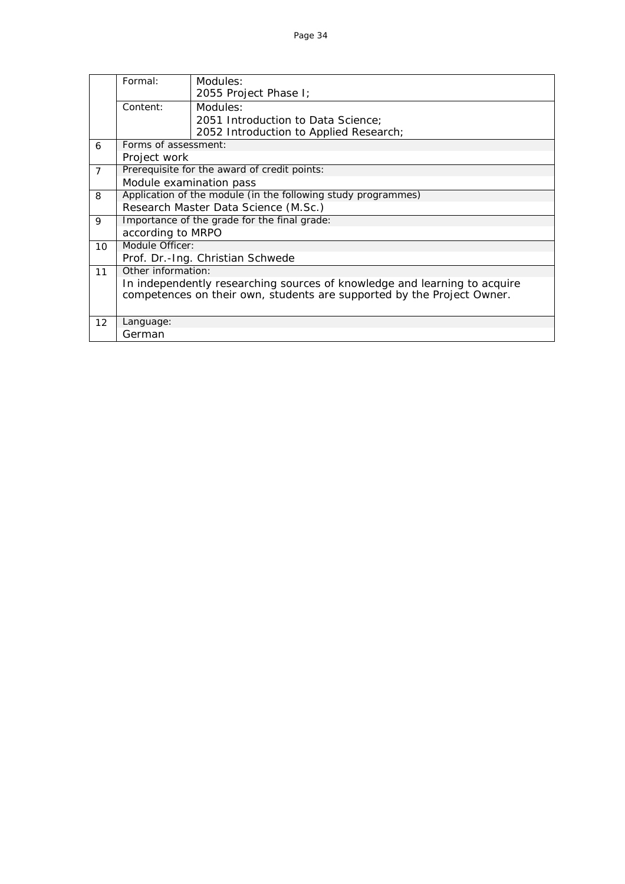|                   | Formal:                 | Modules:                                                                  |  |  |  |  |  |  |  |
|-------------------|-------------------------|---------------------------------------------------------------------------|--|--|--|--|--|--|--|
|                   |                         | 2055 Project Phase I;                                                     |  |  |  |  |  |  |  |
|                   | Content:                | Modules:                                                                  |  |  |  |  |  |  |  |
|                   |                         | 2051 Introduction to Data Science:                                        |  |  |  |  |  |  |  |
|                   |                         | 2052 Introduction to Applied Research;                                    |  |  |  |  |  |  |  |
| 6                 | Forms of assessment:    |                                                                           |  |  |  |  |  |  |  |
|                   | Project work            |                                                                           |  |  |  |  |  |  |  |
| $\overline{7}$    |                         | Prerequisite for the award of credit points:                              |  |  |  |  |  |  |  |
|                   | Module examination pass |                                                                           |  |  |  |  |  |  |  |
| 8                 |                         | Application of the module (in the following study programmes)             |  |  |  |  |  |  |  |
|                   |                         | Research Master Data Science (M.Sc.)                                      |  |  |  |  |  |  |  |
| 9                 |                         | Importance of the grade for the final grade:                              |  |  |  |  |  |  |  |
|                   | according to MRPO       |                                                                           |  |  |  |  |  |  |  |
| 10                | Module Officer:         |                                                                           |  |  |  |  |  |  |  |
|                   |                         | Prof. Dr.-Ing. Christian Schwede                                          |  |  |  |  |  |  |  |
| 11                | Other information:      |                                                                           |  |  |  |  |  |  |  |
|                   |                         | In independently researching sources of knowledge and learning to acquire |  |  |  |  |  |  |  |
|                   |                         | competences on their own, students are supported by the Project Owner.    |  |  |  |  |  |  |  |
|                   |                         |                                                                           |  |  |  |  |  |  |  |
| $12 \overline{ }$ | Language:               |                                                                           |  |  |  |  |  |  |  |
|                   | German                  |                                                                           |  |  |  |  |  |  |  |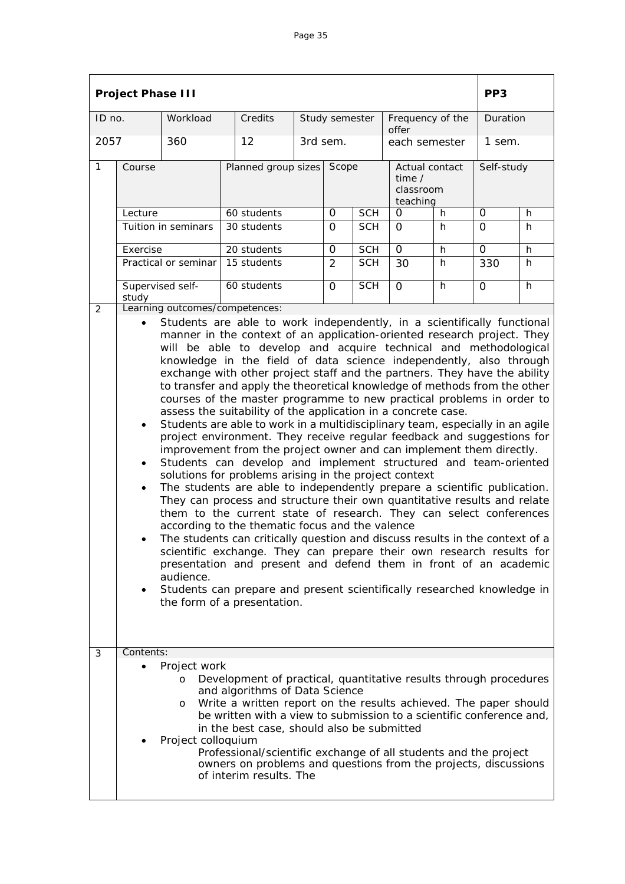|              | <b>Project Phase III</b>                                                                                                                                                                                                                                                                                                                                                                                                                                                                                                                                                                                                                                                                                                                                                                                                                                                                                                                                                                                                                                                                                                                                                                                                                                                                                                                                                                                                                                                                                                                                                                                                                                                                                   |                                                          |                                                                                                                                                                                                                                                                                                                                                                                                                                                                 |  |                |            |                                                   |                  | PP <sub>3</sub> |          |  |
|--------------|------------------------------------------------------------------------------------------------------------------------------------------------------------------------------------------------------------------------------------------------------------------------------------------------------------------------------------------------------------------------------------------------------------------------------------------------------------------------------------------------------------------------------------------------------------------------------------------------------------------------------------------------------------------------------------------------------------------------------------------------------------------------------------------------------------------------------------------------------------------------------------------------------------------------------------------------------------------------------------------------------------------------------------------------------------------------------------------------------------------------------------------------------------------------------------------------------------------------------------------------------------------------------------------------------------------------------------------------------------------------------------------------------------------------------------------------------------------------------------------------------------------------------------------------------------------------------------------------------------------------------------------------------------------------------------------------------------|----------------------------------------------------------|-----------------------------------------------------------------------------------------------------------------------------------------------------------------------------------------------------------------------------------------------------------------------------------------------------------------------------------------------------------------------------------------------------------------------------------------------------------------|--|----------------|------------|---------------------------------------------------|------------------|-----------------|----------|--|
| ID no.       |                                                                                                                                                                                                                                                                                                                                                                                                                                                                                                                                                                                                                                                                                                                                                                                                                                                                                                                                                                                                                                                                                                                                                                                                                                                                                                                                                                                                                                                                                                                                                                                                                                                                                                            | Workload                                                 | Credits                                                                                                                                                                                                                                                                                                                                                                                                                                                         |  | Study semester |            | offer                                             | Frequency of the |                 | Duration |  |
| 2057         |                                                                                                                                                                                                                                                                                                                                                                                                                                                                                                                                                                                                                                                                                                                                                                                                                                                                                                                                                                                                                                                                                                                                                                                                                                                                                                                                                                                                                                                                                                                                                                                                                                                                                                            | 360                                                      | 12                                                                                                                                                                                                                                                                                                                                                                                                                                                              |  | 3rd sem.       |            | each semester                                     |                  | 1 sem.          |          |  |
| $\mathbf{1}$ | Course                                                                                                                                                                                                                                                                                                                                                                                                                                                                                                                                                                                                                                                                                                                                                                                                                                                                                                                                                                                                                                                                                                                                                                                                                                                                                                                                                                                                                                                                                                                                                                                                                                                                                                     |                                                          | Planned group sizes                                                                                                                                                                                                                                                                                                                                                                                                                                             |  | Scope          |            | Actual contact<br>time /<br>classroom<br>teaching |                  | Self-study      |          |  |
|              | Lecture                                                                                                                                                                                                                                                                                                                                                                                                                                                                                                                                                                                                                                                                                                                                                                                                                                                                                                                                                                                                                                                                                                                                                                                                                                                                                                                                                                                                                                                                                                                                                                                                                                                                                                    | 60 students                                              |                                                                                                                                                                                                                                                                                                                                                                                                                                                                 |  | 0              | <b>SCH</b> | 0                                                 | h                | 0               | h        |  |
|              |                                                                                                                                                                                                                                                                                                                                                                                                                                                                                                                                                                                                                                                                                                                                                                                                                                                                                                                                                                                                                                                                                                                                                                                                                                                                                                                                                                                                                                                                                                                                                                                                                                                                                                            | Tuition in seminars                                      | 30 students                                                                                                                                                                                                                                                                                                                                                                                                                                                     |  | $\Omega$       | <b>SCH</b> | $\Omega$                                          | h                | $\Omega$        | h        |  |
|              | Exercise                                                                                                                                                                                                                                                                                                                                                                                                                                                                                                                                                                                                                                                                                                                                                                                                                                                                                                                                                                                                                                                                                                                                                                                                                                                                                                                                                                                                                                                                                                                                                                                                                                                                                                   |                                                          | 20 students                                                                                                                                                                                                                                                                                                                                                                                                                                                     |  | 0              | <b>SCH</b> | $\mathbf 0$                                       | h                | 0               | h        |  |
|              |                                                                                                                                                                                                                                                                                                                                                                                                                                                                                                                                                                                                                                                                                                                                                                                                                                                                                                                                                                                                                                                                                                                                                                                                                                                                                                                                                                                                                                                                                                                                                                                                                                                                                                            | Practical or seminar                                     | 15 students                                                                                                                                                                                                                                                                                                                                                                                                                                                     |  | $\overline{2}$ | <b>SCH</b> | 30                                                | h                | 330             | h        |  |
|              | study                                                                                                                                                                                                                                                                                                                                                                                                                                                                                                                                                                                                                                                                                                                                                                                                                                                                                                                                                                                                                                                                                                                                                                                                                                                                                                                                                                                                                                                                                                                                                                                                                                                                                                      | Supervised self-                                         | 60 students                                                                                                                                                                                                                                                                                                                                                                                                                                                     |  | $\Omega$       | <b>SCH</b> | $\overline{O}$                                    | h                | $\overline{O}$  | h        |  |
| 3            | Learning outcomes/competences:<br>2<br>Students are able to work independently, in a scientifically functional<br>manner in the context of an application-oriented research project. They<br>will be able to develop and acquire technical and methodological<br>knowledge in the field of data science independently, also through<br>exchange with other project staff and the partners. They have the ability<br>to transfer and apply the theoretical knowledge of methods from the other<br>courses of the master programme to new practical problems in order to<br>assess the suitability of the application in a concrete case.<br>Students are able to work in a multidisciplinary team, especially in an agile<br>$\bullet$<br>project environment. They receive regular feedback and suggestions for<br>improvement from the project owner and can implement them directly.<br>Students can develop and implement structured and team-oriented<br>$\bullet$<br>solutions for problems arising in the project context<br>The students are able to independently prepare a scientific publication.<br>$\bullet$<br>They can process and structure their own quantitative results and relate<br>them to the current state of research. They can select conferences<br>according to the thematic focus and the valence<br>The students can critically question and discuss results in the context of a<br>scientific exchange. They can prepare their own research results for<br>presentation and present and defend them in front of an academic<br>audience.<br>Students can prepare and present scientifically researched knowledge in<br>$\bullet$<br>the form of a presentation.<br>Contents: |                                                          |                                                                                                                                                                                                                                                                                                                                                                                                                                                                 |  |                |            |                                                   |                  |                 |          |  |
|              |                                                                                                                                                                                                                                                                                                                                                                                                                                                                                                                                                                                                                                                                                                                                                                                                                                                                                                                                                                                                                                                                                                                                                                                                                                                                                                                                                                                                                                                                                                                                                                                                                                                                                                            | Project work<br>$\circ$<br>$\circ$<br>Project colloquium | Development of practical, quantitative results through procedures<br>and algorithms of Data Science<br>Write a written report on the results achieved. The paper should<br>be written with a view to submission to a scientific conference and,<br>in the best case, should also be submitted<br>Professional/scientific exchange of all students and the project<br>owners on problems and questions from the projects, discussions<br>of interim results. The |  |                |            |                                                   |                  |                 |          |  |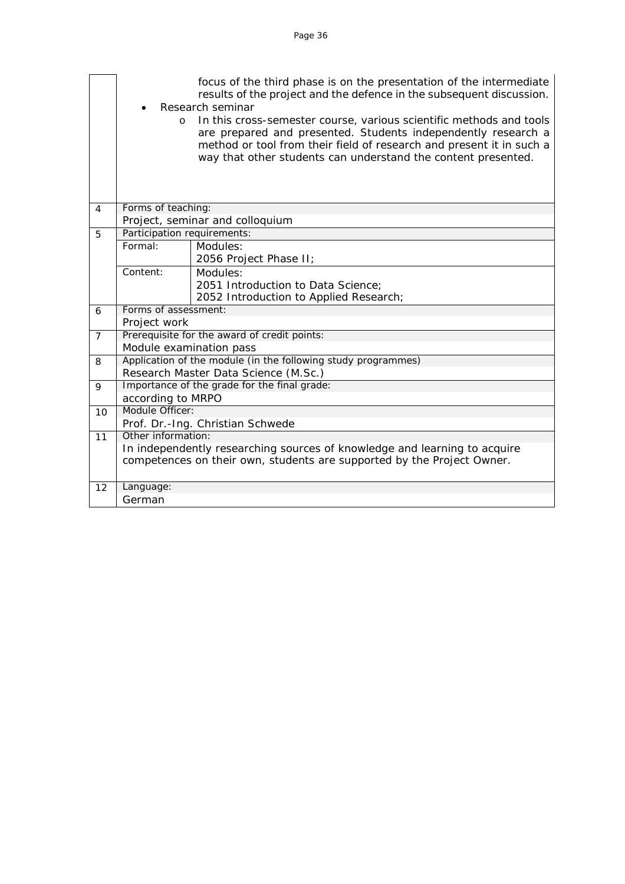|                       | focus of the third phase is on the presentation of the intermediate<br>results of the project and the defence in the subsequent discussion.                                                                                                                                              |                                                               |  |  |  |  |  |  |
|-----------------------|------------------------------------------------------------------------------------------------------------------------------------------------------------------------------------------------------------------------------------------------------------------------------------------|---------------------------------------------------------------|--|--|--|--|--|--|
|                       | Research seminar                                                                                                                                                                                                                                                                         |                                                               |  |  |  |  |  |  |
|                       | In this cross-semester course, various scientific methods and tools<br>$\circ$<br>are prepared and presented. Students independently research a<br>method or tool from their field of research and present it in such a<br>way that other students can understand the content presented. |                                                               |  |  |  |  |  |  |
| 4                     | Forms of teaching:                                                                                                                                                                                                                                                                       |                                                               |  |  |  |  |  |  |
|                       | Project, seminar and colloquium                                                                                                                                                                                                                                                          |                                                               |  |  |  |  |  |  |
| 5                     | Participation requirements:                                                                                                                                                                                                                                                              |                                                               |  |  |  |  |  |  |
|                       | Formal:                                                                                                                                                                                                                                                                                  | Modules:                                                      |  |  |  |  |  |  |
|                       |                                                                                                                                                                                                                                                                                          | 2056 Project Phase II;                                        |  |  |  |  |  |  |
|                       | Content:                                                                                                                                                                                                                                                                                 | Modules:                                                      |  |  |  |  |  |  |
|                       |                                                                                                                                                                                                                                                                                          | 2051 Introduction to Data Science;                            |  |  |  |  |  |  |
|                       |                                                                                                                                                                                                                                                                                          | 2052 Introduction to Applied Research;                        |  |  |  |  |  |  |
| 6                     | Forms of assessment:                                                                                                                                                                                                                                                                     |                                                               |  |  |  |  |  |  |
|                       | Project work                                                                                                                                                                                                                                                                             |                                                               |  |  |  |  |  |  |
| $\overline{7}$        |                                                                                                                                                                                                                                                                                          | Prerequisite for the award of credit points:                  |  |  |  |  |  |  |
|                       | Module examination pass                                                                                                                                                                                                                                                                  |                                                               |  |  |  |  |  |  |
| 8                     |                                                                                                                                                                                                                                                                                          | Application of the module (in the following study programmes) |  |  |  |  |  |  |
|                       | Research Master Data Science (M.Sc.)                                                                                                                                                                                                                                                     |                                                               |  |  |  |  |  |  |
| 9                     | Importance of the grade for the final grade:                                                                                                                                                                                                                                             |                                                               |  |  |  |  |  |  |
|                       | according to MRPO                                                                                                                                                                                                                                                                        |                                                               |  |  |  |  |  |  |
| Module Officer:<br>10 |                                                                                                                                                                                                                                                                                          |                                                               |  |  |  |  |  |  |
|                       | Prof. Dr.-Ing. Christian Schwede                                                                                                                                                                                                                                                         |                                                               |  |  |  |  |  |  |
| 11                    | Other information:                                                                                                                                                                                                                                                                       |                                                               |  |  |  |  |  |  |
|                       | In independently researching sources of knowledge and learning to acquire<br>competences on their own, students are supported by the Project Owner.                                                                                                                                      |                                                               |  |  |  |  |  |  |
|                       |                                                                                                                                                                                                                                                                                          |                                                               |  |  |  |  |  |  |
| 12                    | Language:                                                                                                                                                                                                                                                                                |                                                               |  |  |  |  |  |  |
|                       | German                                                                                                                                                                                                                                                                                   |                                                               |  |  |  |  |  |  |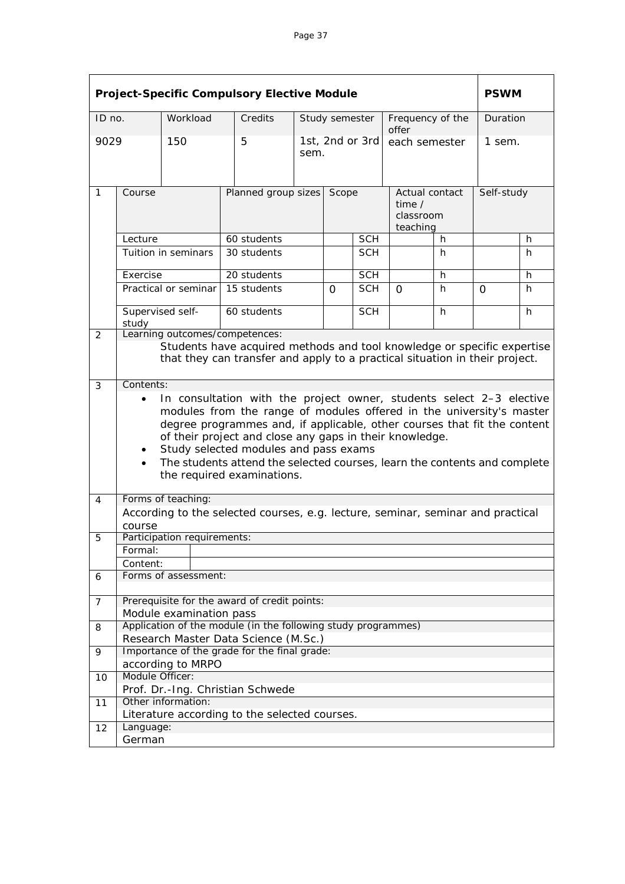| <b>Project-Specific Compulsory Elective Module</b> |                                                                                                                                                                                                                                                                                                                                                                                                                                                      |                                              |                                              |                           |                |            |                                                          | <b>PSWM</b> |            |    |
|----------------------------------------------------|------------------------------------------------------------------------------------------------------------------------------------------------------------------------------------------------------------------------------------------------------------------------------------------------------------------------------------------------------------------------------------------------------------------------------------------------------|----------------------------------------------|----------------------------------------------|---------------------------|----------------|------------|----------------------------------------------------------|-------------|------------|----|
| ID no.                                             |                                                                                                                                                                                                                                                                                                                                                                                                                                                      | Workload                                     | Credits                                      |                           | Study semester |            | Frequency of the<br>offer                                |             | Duration   |    |
| 9029                                               |                                                                                                                                                                                                                                                                                                                                                                                                                                                      | 150                                          | 5                                            | 1st, 2nd or 3rd<br>sem.   |                |            | each semester                                            |             | 1 sem.     |    |
| 1                                                  | Course                                                                                                                                                                                                                                                                                                                                                                                                                                               |                                              |                                              | Planned group sizes Scope |                |            | Actual contact<br>time $\prime$<br>classroom<br>teaching |             | Self-study |    |
|                                                    | Lecture                                                                                                                                                                                                                                                                                                                                                                                                                                              |                                              | 60 students                                  |                           | <b>SCH</b>     |            | h.                                                       |             |            | h  |
|                                                    |                                                                                                                                                                                                                                                                                                                                                                                                                                                      | Tuition in seminars                          | 30 students                                  |                           |                | <b>SCH</b> |                                                          | h           |            | h  |
|                                                    | Exercise                                                                                                                                                                                                                                                                                                                                                                                                                                             |                                              | 20 students                                  |                           |                | <b>SCH</b> |                                                          | h           |            | h  |
|                                                    | Practical or seminar                                                                                                                                                                                                                                                                                                                                                                                                                                 |                                              | 15 students                                  |                           | $\Omega$       | <b>SCH</b> | 0                                                        | h           | 0          | h. |
|                                                    | Supervised self-<br>study                                                                                                                                                                                                                                                                                                                                                                                                                            |                                              | 60 students                                  |                           |                | <b>SCH</b> |                                                          | h           |            | h  |
| 2                                                  | Learning outcomes/competences:<br>Students have acquired methods and tool knowledge or specific expertise<br>that they can transfer and apply to a practical situation in their project.                                                                                                                                                                                                                                                             |                                              |                                              |                           |                |            |                                                          |             |            |    |
|                                                    | In consultation with the project owner, students select 2-3 elective<br>$\bullet$<br>modules from the range of modules offered in the university's master<br>degree programmes and, if applicable, other courses that fit the content<br>of their project and close any gaps in their knowledge.<br>Study selected modules and pass exams<br>The students attend the selected courses, learn the contents and complete<br>the required examinations. |                                              |                                              |                           |                |            |                                                          |             |            |    |
| 4                                                  | Forms of teaching:<br>According to the selected courses, e.g. lecture, seminar, seminar and practical<br>course                                                                                                                                                                                                                                                                                                                                      |                                              |                                              |                           |                |            |                                                          |             |            |    |
| 5                                                  | Participation requirements:                                                                                                                                                                                                                                                                                                                                                                                                                          |                                              |                                              |                           |                |            |                                                          |             |            |    |
|                                                    | Formal:                                                                                                                                                                                                                                                                                                                                                                                                                                              |                                              |                                              |                           |                |            |                                                          |             |            |    |
|                                                    | Content:                                                                                                                                                                                                                                                                                                                                                                                                                                             |                                              |                                              |                           |                |            |                                                          |             |            |    |
| 6                                                  | Forms of assessment:                                                                                                                                                                                                                                                                                                                                                                                                                                 |                                              |                                              |                           |                |            |                                                          |             |            |    |
| 7                                                  |                                                                                                                                                                                                                                                                                                                                                                                                                                                      | Prerequisite for the award of credit points: |                                              |                           |                |            |                                                          |             |            |    |
| 8                                                  | Module examination pass<br>Application of the module (in the following study programmes)                                                                                                                                                                                                                                                                                                                                                             |                                              |                                              |                           |                |            |                                                          |             |            |    |
|                                                    |                                                                                                                                                                                                                                                                                                                                                                                                                                                      |                                              | Research Master Data Science (M.Sc.)         |                           |                |            |                                                          |             |            |    |
| 9                                                  |                                                                                                                                                                                                                                                                                                                                                                                                                                                      |                                              | Importance of the grade for the final grade: |                           |                |            |                                                          |             |            |    |
|                                                    |                                                                                                                                                                                                                                                                                                                                                                                                                                                      | according to MRPO                            |                                              |                           |                |            |                                                          |             |            |    |
| 10                                                 | Module Officer:                                                                                                                                                                                                                                                                                                                                                                                                                                      |                                              |                                              |                           |                |            |                                                          |             |            |    |
|                                                    |                                                                                                                                                                                                                                                                                                                                                                                                                                                      |                                              | Prof. Dr.-Ing. Christian Schwede             |                           |                |            |                                                          |             |            |    |
| 11                                                 | Other information:<br>Literature according to the selected courses.                                                                                                                                                                                                                                                                                                                                                                                  |                                              |                                              |                           |                |            |                                                          |             |            |    |
| 12                                                 | Language:                                                                                                                                                                                                                                                                                                                                                                                                                                            |                                              |                                              |                           |                |            |                                                          |             |            |    |
|                                                    | German                                                                                                                                                                                                                                                                                                                                                                                                                                               |                                              |                                              |                           |                |            |                                                          |             |            |    |